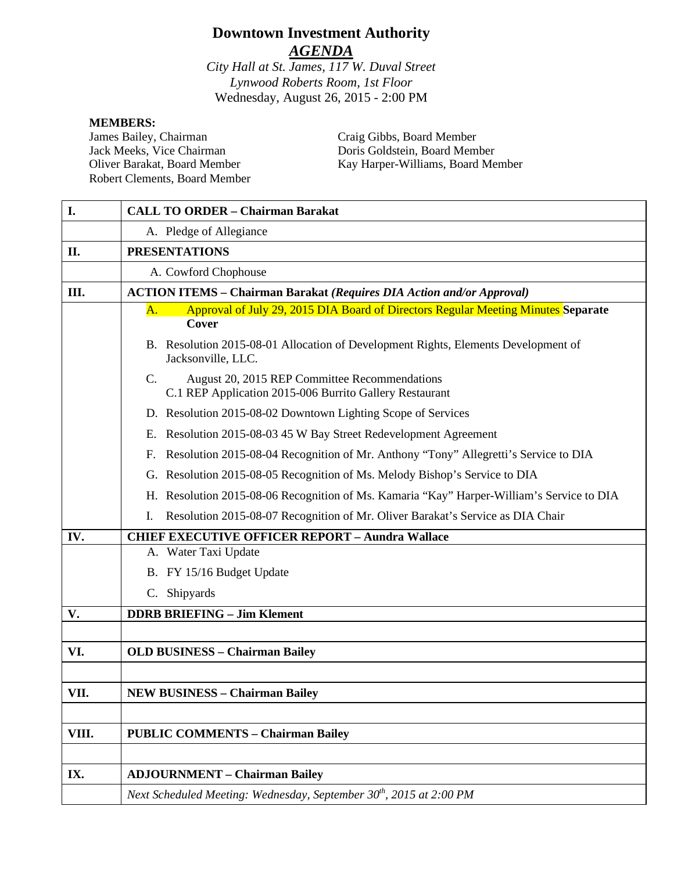# **Downtown Investment Authority** *AGENDA*

*City Hall at St. James, 117 W. Duval Street Lynwood Roberts Room, 1st Floor* Wednesday, August 26, 2015 - 2:00 PM

#### **MEMBERS:**

James Bailey, Chairman Jack Meeks, Vice Chairman Oliver Barakat, Board Member Robert Clements, Board Member Craig Gibbs, Board Member Doris Goldstein, Board Member Kay Harper-Williams, Board Member

| I.    | <b>CALL TO ORDER - Chairman Barakat</b>                                                                                    |
|-------|----------------------------------------------------------------------------------------------------------------------------|
|       | A. Pledge of Allegiance                                                                                                    |
| II.   | <b>PRESENTATIONS</b>                                                                                                       |
|       | A. Cowford Chophouse                                                                                                       |
| Ш.    | <b>ACTION ITEMS - Chairman Barakat (Requires DIA Action and/or Approval)</b>                                               |
|       | Approval of July 29, 2015 DIA Board of Directors Regular Meeting Minutes Separate<br>A.                                    |
|       | <b>Cover</b>                                                                                                               |
|       | B. Resolution 2015-08-01 Allocation of Development Rights, Elements Development of<br>Jacksonville, LLC.                   |
|       | August 20, 2015 REP Committee Recommendations<br>$\mathbf{C}$ .<br>C.1 REP Application 2015-006 Burrito Gallery Restaurant |
|       | D. Resolution 2015-08-02 Downtown Lighting Scope of Services                                                               |
|       | E. Resolution 2015-08-03 45 W Bay Street Redevelopment Agreement                                                           |
|       | F. Resolution 2015-08-04 Recognition of Mr. Anthony "Tony" Allegretti's Service to DIA                                     |
|       | G. Resolution 2015-08-05 Recognition of Ms. Melody Bishop's Service to DIA                                                 |
|       | H. Resolution 2015-08-06 Recognition of Ms. Kamaria "Kay" Harper-William's Service to DIA                                  |
|       | Resolution 2015-08-07 Recognition of Mr. Oliver Barakat's Service as DIA Chair<br>Ι.                                       |
| IV.   | <b>CHIEF EXECUTIVE OFFICER REPORT - Aundra Wallace</b>                                                                     |
|       | A. Water Taxi Update                                                                                                       |
|       | B. FY 15/16 Budget Update                                                                                                  |
|       | C. Shipyards                                                                                                               |
| V.    | <b>DDRB BRIEFING - Jim Klement</b>                                                                                         |
|       |                                                                                                                            |
| VI.   | <b>OLD BUSINESS - Chairman Bailey</b>                                                                                      |
|       |                                                                                                                            |
| VII.  | <b>NEW BUSINESS - Chairman Bailey</b>                                                                                      |
|       |                                                                                                                            |
| VIII. | <b>PUBLIC COMMENTS - Chairman Bailey</b>                                                                                   |
|       |                                                                                                                            |
| IX.   | <b>ADJOURNMENT - Chairman Bailey</b>                                                                                       |
|       | Next Scheduled Meeting: Wednesday, September 30 <sup>th</sup> , 2015 at 2:00 PM                                            |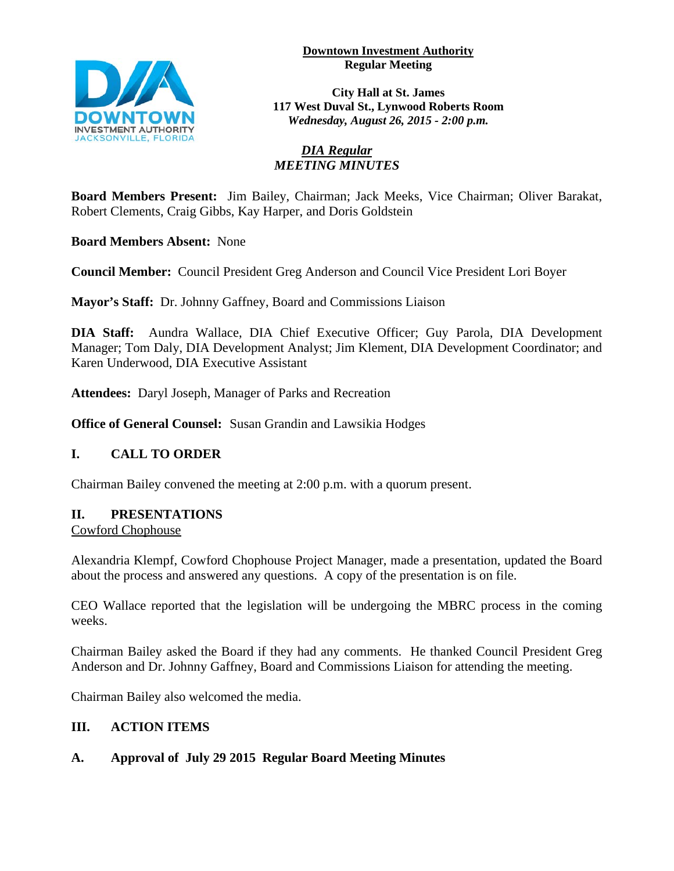**Downtown Investment Authority Regular Meeting** 



**City Hall at St. James 117 West Duval St., Lynwood Roberts Room** *Wednesday, August 26, 2015 - 2:00 p.m.*

### *DIA Regular MEETING MINUTES*

**Board Members Present:** Jim Bailey, Chairman; Jack Meeks, Vice Chairman; Oliver Barakat, Robert Clements, Craig Gibbs, Kay Harper, and Doris Goldstein

**Board Members Absent:** None

**Council Member:** Council President Greg Anderson and Council Vice President Lori Boyer

**Mayor's Staff:** Dr. Johnny Gaffney, Board and Commissions Liaison

**DIA Staff:** Aundra Wallace, DIA Chief Executive Officer; Guy Parola, DIA Development Manager; Tom Daly, DIA Development Analyst; Jim Klement, DIA Development Coordinator; and Karen Underwood, DIA Executive Assistant

**Attendees:** Daryl Joseph, Manager of Parks and Recreation

**Office of General Counsel:** Susan Grandin and Lawsikia Hodges

### **I. CALL TO ORDER**

Chairman Bailey convened the meeting at 2:00 p.m. with a quorum present.

### **II. PRESENTATIONS**

Cowford Chophouse

Alexandria Klempf, Cowford Chophouse Project Manager, made a presentation, updated the Board about the process and answered any questions. A copy of the presentation is on file.

CEO Wallace reported that the legislation will be undergoing the MBRC process in the coming weeks.

Chairman Bailey asked the Board if they had any comments. He thanked Council President Greg Anderson and Dr. Johnny Gaffney, Board and Commissions Liaison for attending the meeting.

Chairman Bailey also welcomed the media.

### **III. ACTION ITEMS**

### **A. Approval of July 29 2015 Regular Board Meeting Minutes**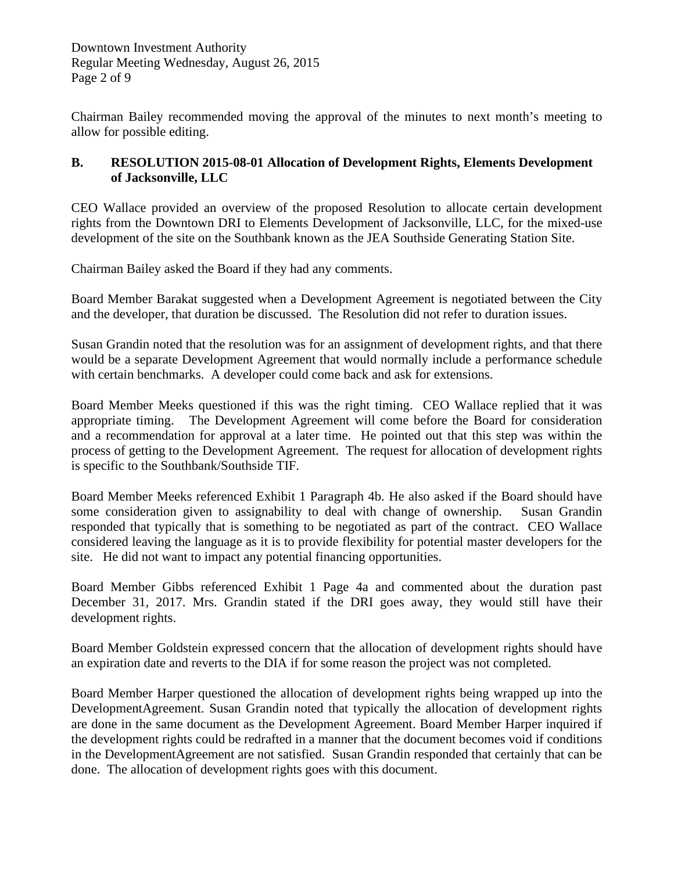Downtown Investment Authority Regular Meeting Wednesday, August 26, 2015 Page 2 of 9

Chairman Bailey recommended moving the approval of the minutes to next month's meeting to allow for possible editing.

#### **B. RESOLUTION 2015-08-01 Allocation of Development Rights, Elements Development of Jacksonville, LLC**

CEO Wallace provided an overview of the proposed Resolution to allocate certain development rights from the Downtown DRI to Elements Development of Jacksonville, LLC, for the mixed-use development of the site on the Southbank known as the JEA Southside Generating Station Site.

Chairman Bailey asked the Board if they had any comments.

Board Member Barakat suggested when a Development Agreement is negotiated between the City and the developer, that duration be discussed. The Resolution did not refer to duration issues.

Susan Grandin noted that the resolution was for an assignment of development rights, and that there would be a separate Development Agreement that would normally include a performance schedule with certain benchmarks. A developer could come back and ask for extensions.

Board Member Meeks questioned if this was the right timing. CEO Wallace replied that it was appropriate timing. The Development Agreement will come before the Board for consideration and a recommendation for approval at a later time. He pointed out that this step was within the process of getting to the Development Agreement. The request for allocation of development rights is specific to the Southbank/Southside TIF.

Board Member Meeks referenced Exhibit 1 Paragraph 4b. He also asked if the Board should have some consideration given to assignability to deal with change of ownership. Susan Grandin responded that typically that is something to be negotiated as part of the contract. CEO Wallace considered leaving the language as it is to provide flexibility for potential master developers for the site. He did not want to impact any potential financing opportunities.

Board Member Gibbs referenced Exhibit 1 Page 4a and commented about the duration past December 31, 2017. Mrs. Grandin stated if the DRI goes away, they would still have their development rights.

Board Member Goldstein expressed concern that the allocation of development rights should have an expiration date and reverts to the DIA if for some reason the project was not completed.

Board Member Harper questioned the allocation of development rights being wrapped up into the DevelopmentAgreement. Susan Grandin noted that typically the allocation of development rights are done in the same document as the Development Agreement. Board Member Harper inquired if the development rights could be redrafted in a manner that the document becomes void if conditions in the DevelopmentAgreement are not satisfied. Susan Grandin responded that certainly that can be done. The allocation of development rights goes with this document.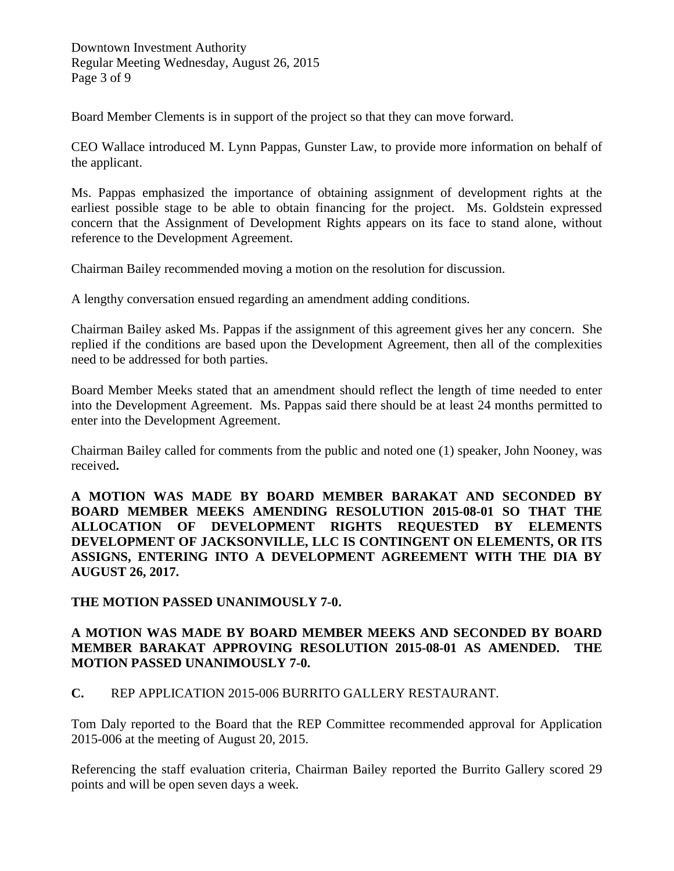Downtown Investment Authority Regular Meeting Wednesday, August 26, 2015 Page 3 of 9

Board Member Clements is in support of the project so that they can move forward.

CEO Wallace introduced M. Lynn Pappas, Gunster Law, to provide more information on behalf of the applicant.

Ms. Pappas emphasized the importance of obtaining assignment of development rights at the earliest possible stage to be able to obtain financing for the project. Ms. Goldstein expressed concern that the Assignment of Development Rights appears on its face to stand alone, without reference to the Development Agreement.

Chairman Bailey recommended moving a motion on the resolution for discussion.

A lengthy conversation ensued regarding an amendment adding conditions.

Chairman Bailey asked Ms. Pappas if the assignment of this agreement gives her any concern. She replied if the conditions are based upon the Development Agreement, then all of the complexities need to be addressed for both parties.

Board Member Meeks stated that an amendment should reflect the length of time needed to enter into the Development Agreement. Ms. Pappas said there should be at least 24 months permitted to enter into the Development Agreement.

Chairman Bailey called for comments from the public and noted one (1) speaker, John Nooney, was received**.** 

**A MOTION WAS MADE BY BOARD MEMBER BARAKAT AND SECONDED BY BOARD MEMBER MEEKS AMENDING RESOLUTION 2015-08-01 SO THAT THE ALLOCATION OF DEVELOPMENT RIGHTS REQUESTED BY ELEMENTS DEVELOPMENT OF JACKSONVILLE, LLC IS CONTINGENT ON ELEMENTS, OR ITS ASSIGNS, ENTERING INTO A DEVELOPMENT AGREEMENT WITH THE DIA BY AUGUST 26, 2017.** 

#### **THE MOTION PASSED UNANIMOUSLY 7-0.**

#### **A MOTION WAS MADE BY BOARD MEMBER MEEKS AND SECONDED BY BOARD MEMBER BARAKAT APPROVING RESOLUTION 2015-08-01 AS AMENDED. THE MOTION PASSED UNANIMOUSLY 7-0.**

#### **C.** REP APPLICATION 2015-006 BURRITO GALLERY RESTAURANT.

Tom Daly reported to the Board that the REP Committee recommended approval for Application 2015-006 at the meeting of August 20, 2015.

Referencing the staff evaluation criteria, Chairman Bailey reported the Burrito Gallery scored 29 points and will be open seven days a week.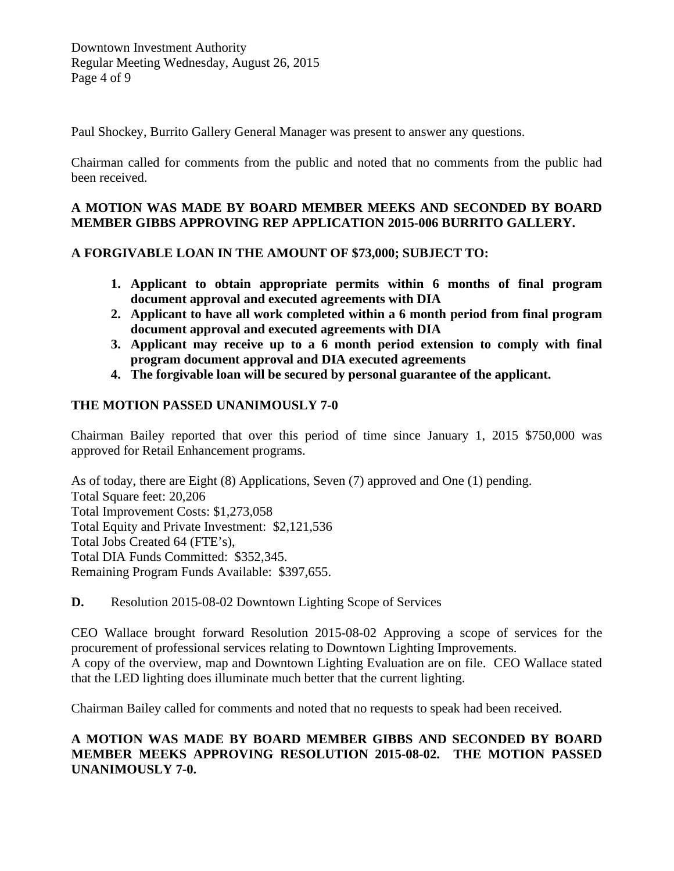Paul Shockey, Burrito Gallery General Manager was present to answer any questions.

Chairman called for comments from the public and noted that no comments from the public had been received.

### **A MOTION WAS MADE BY BOARD MEMBER MEEKS AND SECONDED BY BOARD MEMBER GIBBS APPROVING REP APPLICATION 2015-006 BURRITO GALLERY.**

### **A FORGIVABLE LOAN IN THE AMOUNT OF \$73,000; SUBJECT TO:**

- **1. Applicant to obtain appropriate permits within 6 months of final program document approval and executed agreements with DIA**
- **2. Applicant to have all work completed within a 6 month period from final program document approval and executed agreements with DIA**
- **3. Applicant may receive up to a 6 month period extension to comply with final program document approval and DIA executed agreements**
- **4. The forgivable loan will be secured by personal guarantee of the applicant.**

## **THE MOTION PASSED UNANIMOUSLY 7-0**

Chairman Bailey reported that over this period of time since January 1, 2015 \$750,000 was approved for Retail Enhancement programs.

As of today, there are Eight (8) Applications, Seven (7) approved and One (1) pending. Total Square feet: 20,206 Total Improvement Costs: \$1,273,058 Total Equity and Private Investment: \$2,121,536 Total Jobs Created 64 (FTE's), Total DIA Funds Committed: \$352,345. Remaining Program Funds Available: \$397,655.

**D.** Resolution 2015-08-02 Downtown Lighting Scope of Services

CEO Wallace brought forward Resolution 2015-08-02 Approving a scope of services for the procurement of professional services relating to Downtown Lighting Improvements. A copy of the overview, map and Downtown Lighting Evaluation are on file. CEO Wallace stated that the LED lighting does illuminate much better that the current lighting.

Chairman Bailey called for comments and noted that no requests to speak had been received.

## **A MOTION WAS MADE BY BOARD MEMBER GIBBS AND SECONDED BY BOARD MEMBER MEEKS APPROVING RESOLUTION 2015-08-02. THE MOTION PASSED UNANIMOUSLY 7-0.**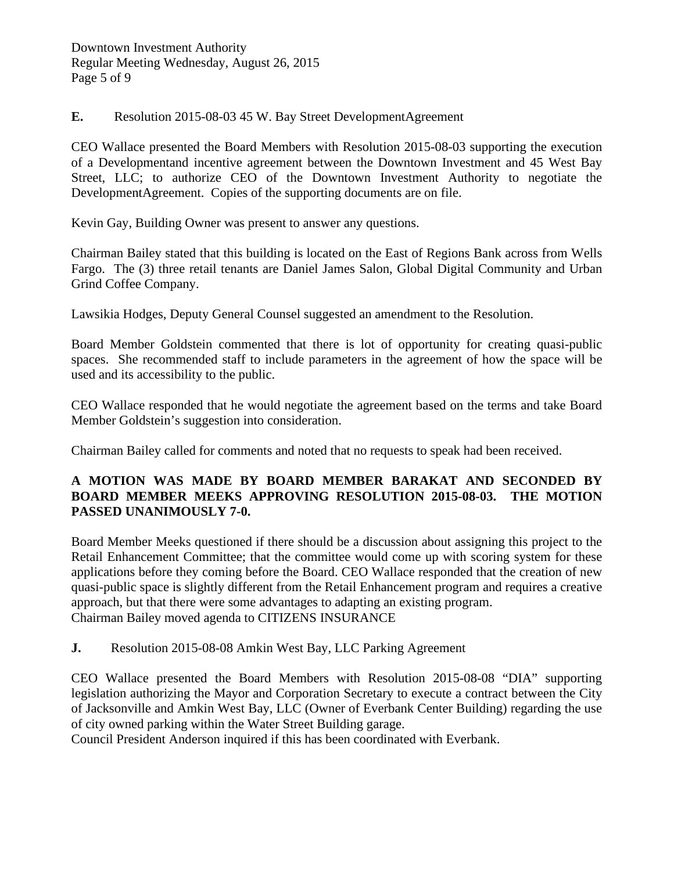**E.** Resolution 2015-08-03 45 W. Bay Street DevelopmentAgreement

CEO Wallace presented the Board Members with Resolution 2015-08-03 supporting the execution of a Developmentand incentive agreement between the Downtown Investment and 45 West Bay Street, LLC; to authorize CEO of the Downtown Investment Authority to negotiate the DevelopmentAgreement. Copies of the supporting documents are on file.

Kevin Gay, Building Owner was present to answer any questions.

Chairman Bailey stated that this building is located on the East of Regions Bank across from Wells Fargo. The (3) three retail tenants are Daniel James Salon, Global Digital Community and Urban Grind Coffee Company.

Lawsikia Hodges, Deputy General Counsel suggested an amendment to the Resolution.

Board Member Goldstein commented that there is lot of opportunity for creating quasi-public spaces. She recommended staff to include parameters in the agreement of how the space will be used and its accessibility to the public.

CEO Wallace responded that he would negotiate the agreement based on the terms and take Board Member Goldstein's suggestion into consideration.

Chairman Bailey called for comments and noted that no requests to speak had been received.

### **A MOTION WAS MADE BY BOARD MEMBER BARAKAT AND SECONDED BY BOARD MEMBER MEEKS APPROVING RESOLUTION 2015-08-03. THE MOTION PASSED UNANIMOUSLY 7-0.**

Board Member Meeks questioned if there should be a discussion about assigning this project to the Retail Enhancement Committee; that the committee would come up with scoring system for these applications before they coming before the Board. CEO Wallace responded that the creation of new quasi-public space is slightly different from the Retail Enhancement program and requires a creative approach, but that there were some advantages to adapting an existing program. Chairman Bailey moved agenda to CITIZENS INSURANCE

**J.** Resolution 2015-08-08 Amkin West Bay, LLC Parking Agreement

CEO Wallace presented the Board Members with Resolution 2015-08-08 "DIA" supporting legislation authorizing the Mayor and Corporation Secretary to execute a contract between the City of Jacksonville and Amkin West Bay, LLC (Owner of Everbank Center Building) regarding the use of city owned parking within the Water Street Building garage.

Council President Anderson inquired if this has been coordinated with Everbank.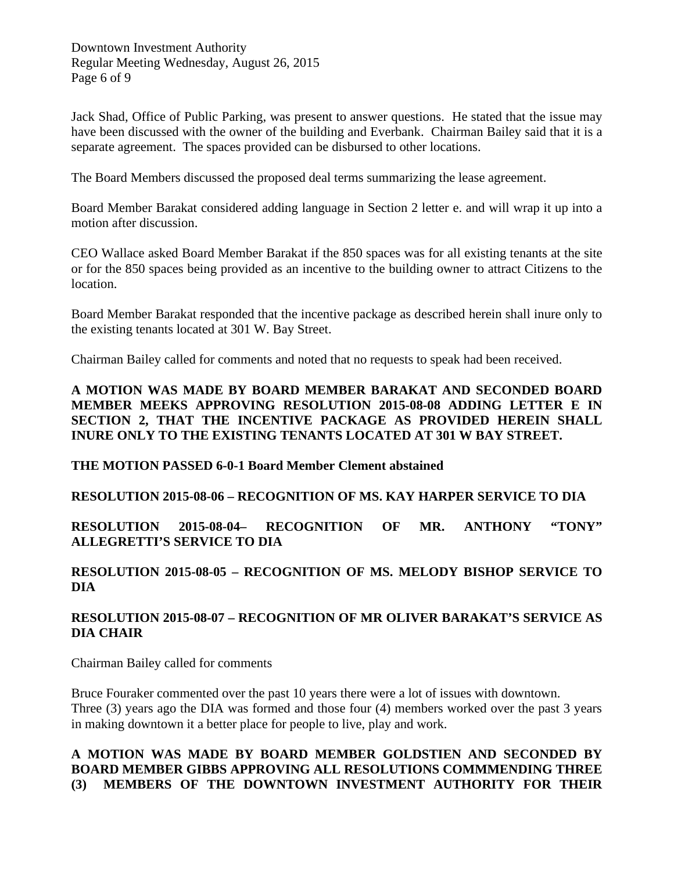Downtown Investment Authority Regular Meeting Wednesday, August 26, 2015 Page 6 of 9

Jack Shad, Office of Public Parking, was present to answer questions. He stated that the issue may have been discussed with the owner of the building and Everbank. Chairman Bailey said that it is a separate agreement. The spaces provided can be disbursed to other locations.

The Board Members discussed the proposed deal terms summarizing the lease agreement.

Board Member Barakat considered adding language in Section 2 letter e. and will wrap it up into a motion after discussion.

CEO Wallace asked Board Member Barakat if the 850 spaces was for all existing tenants at the site or for the 850 spaces being provided as an incentive to the building owner to attract Citizens to the location.

Board Member Barakat responded that the incentive package as described herein shall inure only to the existing tenants located at 301 W. Bay Street.

Chairman Bailey called for comments and noted that no requests to speak had been received.

#### **A MOTION WAS MADE BY BOARD MEMBER BARAKAT AND SECONDED BOARD MEMBER MEEKS APPROVING RESOLUTION 2015-08-08 ADDING LETTER E IN SECTION 2, THAT THE INCENTIVE PACKAGE AS PROVIDED HEREIN SHALL INURE ONLY TO THE EXISTING TENANTS LOCATED AT 301 W BAY STREET.**

### **THE MOTION PASSED 6-0-1 Board Member Clement abstained**

### **RESOLUTION 2015-08-06 – RECOGNITION OF MS. KAY HARPER SERVICE TO DIA**

**RESOLUTION 2015-08-04– RECOGNITION OF MR. ANTHONY "TONY" ALLEGRETTI'S SERVICE TO DIA**

## **RESOLUTION 2015-08-05 – RECOGNITION OF MS. MELODY BISHOP SERVICE TO DIA**

### **RESOLUTION 2015-08-07 – RECOGNITION OF MR OLIVER BARAKAT'S SERVICE AS DIA CHAIR**

Chairman Bailey called for comments

Bruce Fouraker commented over the past 10 years there were a lot of issues with downtown. Three (3) years ago the DIA was formed and those four (4) members worked over the past 3 years in making downtown it a better place for people to live, play and work.

### **A MOTION WAS MADE BY BOARD MEMBER GOLDSTIEN AND SECONDED BY BOARD MEMBER GIBBS APPROVING ALL RESOLUTIONS COMMMENDING THREE (3) MEMBERS OF THE DOWNTOWN INVESTMENT AUTHORITY FOR THEIR**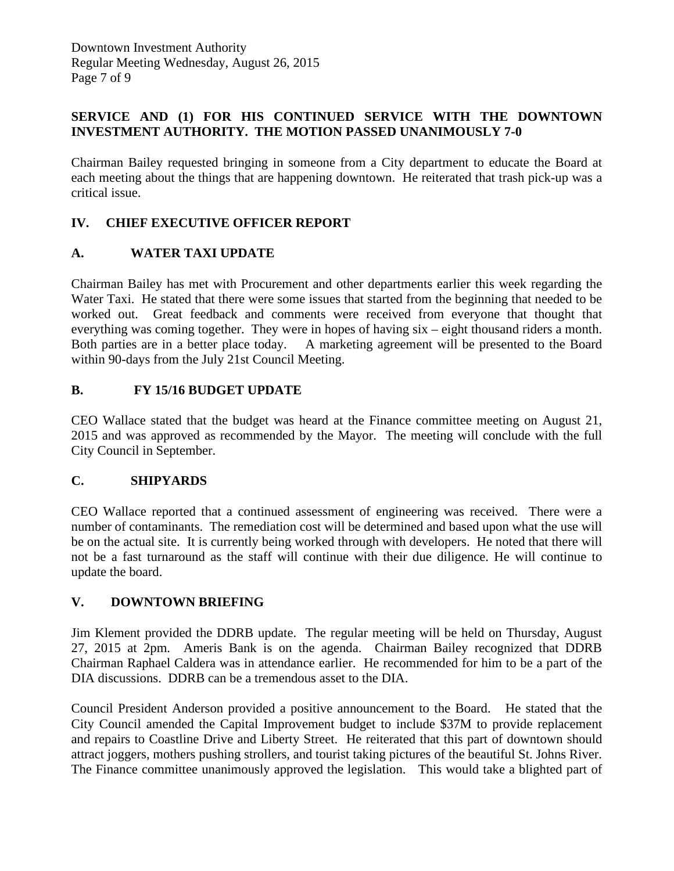Downtown Investment Authority Regular Meeting Wednesday, August 26, 2015 Page 7 of 9

### **SERVICE AND (1) FOR HIS CONTINUED SERVICE WITH THE DOWNTOWN INVESTMENT AUTHORITY. THE MOTION PASSED UNANIMOUSLY 7-0**

Chairman Bailey requested bringing in someone from a City department to educate the Board at each meeting about the things that are happening downtown. He reiterated that trash pick-up was a critical issue.

## **IV. CHIEF EXECUTIVE OFFICER REPORT**

### **A. WATER TAXI UPDATE**

Chairman Bailey has met with Procurement and other departments earlier this week regarding the Water Taxi. He stated that there were some issues that started from the beginning that needed to be worked out. Great feedback and comments were received from everyone that thought that everything was coming together. They were in hopes of having six – eight thousand riders a month. Both parties are in a better place today. A marketing agreement will be presented to the Board within 90-days from the July 21st Council Meeting.

### **B. FY 15/16 BUDGET UPDATE**

CEO Wallace stated that the budget was heard at the Finance committee meeting on August 21, 2015 and was approved as recommended by the Mayor. The meeting will conclude with the full City Council in September.

### **C. SHIPYARDS**

CEO Wallace reported that a continued assessment of engineering was received. There were a number of contaminants. The remediation cost will be determined and based upon what the use will be on the actual site. It is currently being worked through with developers. He noted that there will not be a fast turnaround as the staff will continue with their due diligence. He will continue to update the board.

### **V. DOWNTOWN BRIEFING**

Jim Klement provided the DDRB update. The regular meeting will be held on Thursday, August 27, 2015 at 2pm. Ameris Bank is on the agenda. Chairman Bailey recognized that DDRB Chairman Raphael Caldera was in attendance earlier. He recommended for him to be a part of the DIA discussions. DDRB can be a tremendous asset to the DIA.

Council President Anderson provided a positive announcement to the Board. He stated that the City Council amended the Capital Improvement budget to include \$37M to provide replacement and repairs to Coastline Drive and Liberty Street. He reiterated that this part of downtown should attract joggers, mothers pushing strollers, and tourist taking pictures of the beautiful St. Johns River. The Finance committee unanimously approved the legislation. This would take a blighted part of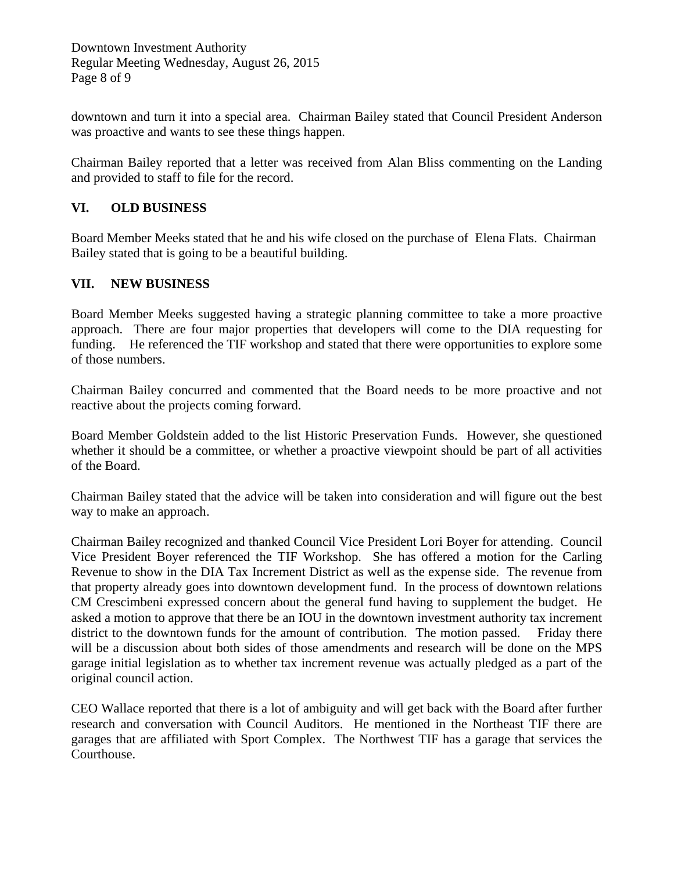Downtown Investment Authority Regular Meeting Wednesday, August 26, 2015 Page 8 of 9

downtown and turn it into a special area. Chairman Bailey stated that Council President Anderson was proactive and wants to see these things happen.

Chairman Bailey reported that a letter was received from Alan Bliss commenting on the Landing and provided to staff to file for the record.

#### **VI. OLD BUSINESS**

Board Member Meeks stated that he and his wife closed on the purchase of Elena Flats. Chairman Bailey stated that is going to be a beautiful building.

#### **VII. NEW BUSINESS**

Board Member Meeks suggested having a strategic planning committee to take a more proactive approach. There are four major properties that developers will come to the DIA requesting for funding. He referenced the TIF workshop and stated that there were opportunities to explore some of those numbers.

Chairman Bailey concurred and commented that the Board needs to be more proactive and not reactive about the projects coming forward.

Board Member Goldstein added to the list Historic Preservation Funds. However, she questioned whether it should be a committee, or whether a proactive viewpoint should be part of all activities of the Board.

Chairman Bailey stated that the advice will be taken into consideration and will figure out the best way to make an approach.

Chairman Bailey recognized and thanked Council Vice President Lori Boyer for attending. Council Vice President Boyer referenced the TIF Workshop. She has offered a motion for the Carling Revenue to show in the DIA Tax Increment District as well as the expense side. The revenue from that property already goes into downtown development fund. In the process of downtown relations CM Crescimbeni expressed concern about the general fund having to supplement the budget. He asked a motion to approve that there be an IOU in the downtown investment authority tax increment district to the downtown funds for the amount of contribution. The motion passed. Friday there will be a discussion about both sides of those amendments and research will be done on the MPS garage initial legislation as to whether tax increment revenue was actually pledged as a part of the original council action.

CEO Wallace reported that there is a lot of ambiguity and will get back with the Board after further research and conversation with Council Auditors. He mentioned in the Northeast TIF there are garages that are affiliated with Sport Complex. The Northwest TIF has a garage that services the Courthouse.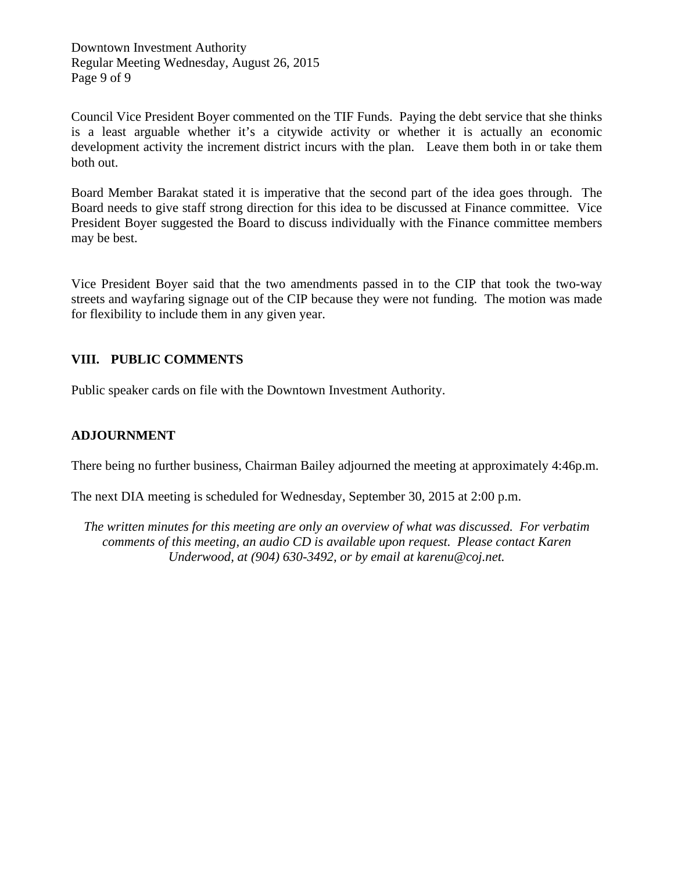Downtown Investment Authority Regular Meeting Wednesday, August 26, 2015 Page 9 of 9

Council Vice President Boyer commented on the TIF Funds. Paying the debt service that she thinks is a least arguable whether it's a citywide activity or whether it is actually an economic development activity the increment district incurs with the plan. Leave them both in or take them both out.

Board Member Barakat stated it is imperative that the second part of the idea goes through. The Board needs to give staff strong direction for this idea to be discussed at Finance committee. Vice President Boyer suggested the Board to discuss individually with the Finance committee members may be best.

Vice President Boyer said that the two amendments passed in to the CIP that took the two-way streets and wayfaring signage out of the CIP because they were not funding. The motion was made for flexibility to include them in any given year.

## **VIII. PUBLIC COMMENTS**

Public speaker cards on file with the Downtown Investment Authority.

## **ADJOURNMENT**

There being no further business, Chairman Bailey adjourned the meeting at approximately 4:46p.m.

The next DIA meeting is scheduled for Wednesday, September 30, 2015 at 2:00 p.m.

*The written minutes for this meeting are only an overview of what was discussed. For verbatim comments of this meeting, an audio CD is available upon request. Please contact Karen Underwood, at (904) 630-3492, or by email at karenu@coj.net.*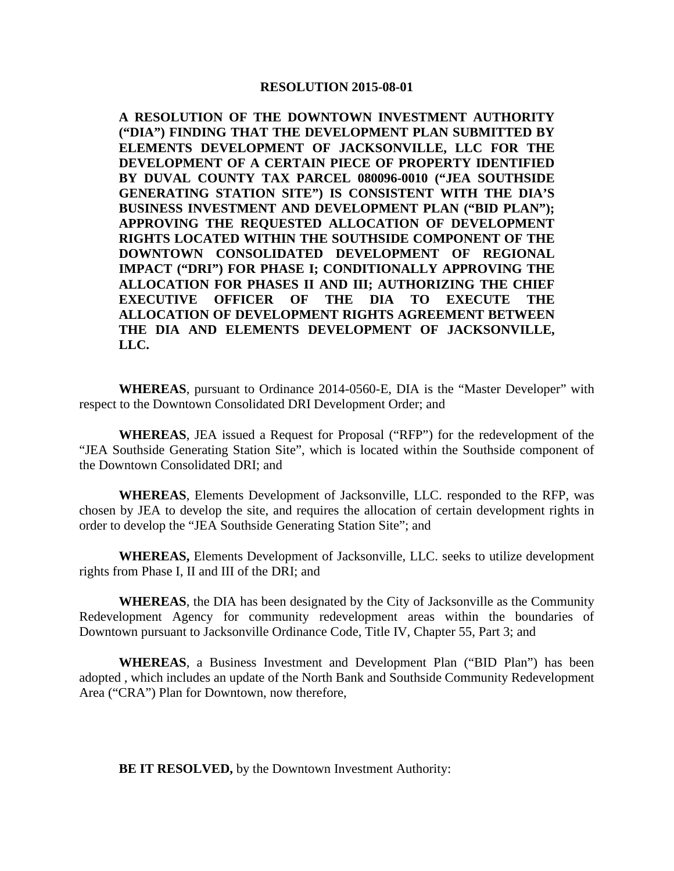**A RESOLUTION OF THE DOWNTOWN INVESTMENT AUTHORITY ("DIA") FINDING THAT THE DEVELOPMENT PLAN SUBMITTED BY ELEMENTS DEVELOPMENT OF JACKSONVILLE, LLC FOR THE DEVELOPMENT OF A CERTAIN PIECE OF PROPERTY IDENTIFIED BY DUVAL COUNTY TAX PARCEL 080096-0010 ("JEA SOUTHSIDE GENERATING STATION SITE") IS CONSISTENT WITH THE DIA'S BUSINESS INVESTMENT AND DEVELOPMENT PLAN ("BID PLAN"); APPROVING THE REQUESTED ALLOCATION OF DEVELOPMENT RIGHTS LOCATED WITHIN THE SOUTHSIDE COMPONENT OF THE DOWNTOWN CONSOLIDATED DEVELOPMENT OF REGIONAL IMPACT ("DRI") FOR PHASE I; CONDITIONALLY APPROVING THE ALLOCATION FOR PHASES II AND III; AUTHORIZING THE CHIEF EXECUTIVE OFFICER OF THE DIA TO EXECUTE THE ALLOCATION OF DEVELOPMENT RIGHTS AGREEMENT BETWEEN THE DIA AND ELEMENTS DEVELOPMENT OF JACKSONVILLE, LLC.**

**WHEREAS**, pursuant to Ordinance 2014-0560-E, DIA is the "Master Developer" with respect to the Downtown Consolidated DRI Development Order; and

**WHEREAS**, JEA issued a Request for Proposal ("RFP") for the redevelopment of the "JEA Southside Generating Station Site", which is located within the Southside component of the Downtown Consolidated DRI; and

**WHEREAS**, Elements Development of Jacksonville, LLC. responded to the RFP, was chosen by JEA to develop the site, and requires the allocation of certain development rights in order to develop the "JEA Southside Generating Station Site"; and

**WHEREAS,** Elements Development of Jacksonville, LLC. seeks to utilize development rights from Phase I, II and III of the DRI; and

**WHEREAS**, the DIA has been designated by the City of Jacksonville as the Community Redevelopment Agency for community redevelopment areas within the boundaries of Downtown pursuant to Jacksonville Ordinance Code, Title IV, Chapter 55, Part 3; and

**WHEREAS**, a Business Investment and Development Plan ("BID Plan") has been adopted , which includes an update of the North Bank and Southside Community Redevelopment Area ("CRA") Plan for Downtown, now therefore,

**BE IT RESOLVED,** by the Downtown Investment Authority: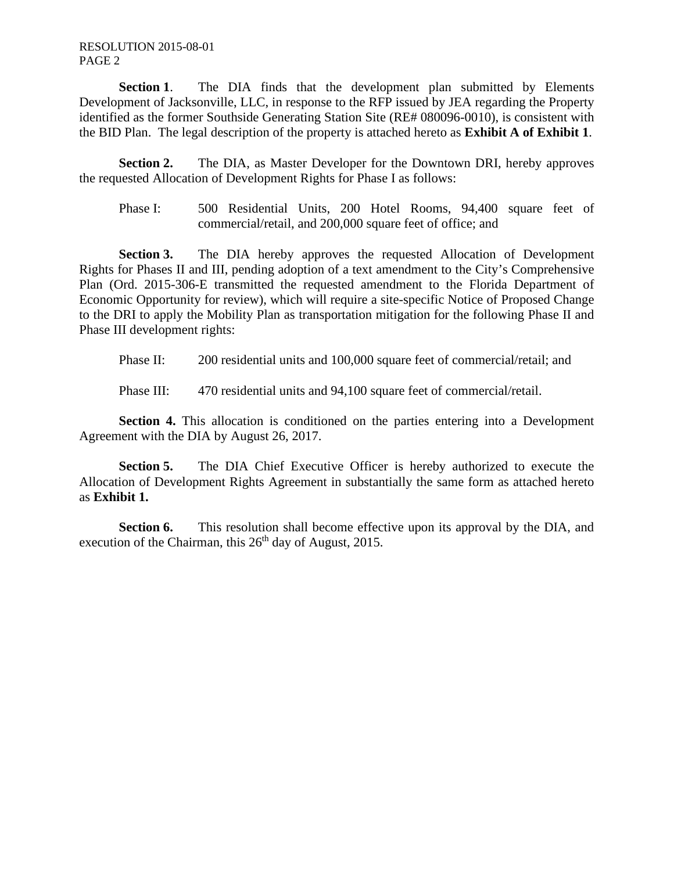RESOLUTION 2015-08-01 PAGE 2

**Section 1.** The DIA finds that the development plan submitted by Elements Development of Jacksonville, LLC, in response to the RFP issued by JEA regarding the Property identified as the former Southside Generating Station Site (RE# 080096-0010), is consistent with the BID Plan. The legal description of the property is attached hereto as **Exhibit A of Exhibit 1**.

**Section 2.** The DIA, as Master Developer for the Downtown DRI, hereby approves the requested Allocation of Development Rights for Phase I as follows:

Phase I: 500 Residential Units, 200 Hotel Rooms, 94,400 square feet of commercial/retail, and 200,000 square feet of office; and

**Section 3.** The DIA hereby approves the requested Allocation of Development Rights for Phases II and III, pending adoption of a text amendment to the City's Comprehensive Plan (Ord. 2015-306-E transmitted the requested amendment to the Florida Department of Economic Opportunity for review), which will require a site-specific Notice of Proposed Change to the DRI to apply the Mobility Plan as transportation mitigation for the following Phase II and Phase III development rights:

Phase II: 200 residential units and 100,000 square feet of commercial/retail; and

Phase III: 470 residential units and 94,100 square feet of commercial/retail.

**Section 4.** This allocation is conditioned on the parties entering into a Development Agreement with the DIA by August 26, 2017.

**Section 5.** The DIA Chief Executive Officer is hereby authorized to execute the Allocation of Development Rights Agreement in substantially the same form as attached hereto as **Exhibit 1.**

**Section 6.** This resolution shall become effective upon its approval by the DIA, and execution of the Chairman, this  $26<sup>th</sup>$  day of August, 2015.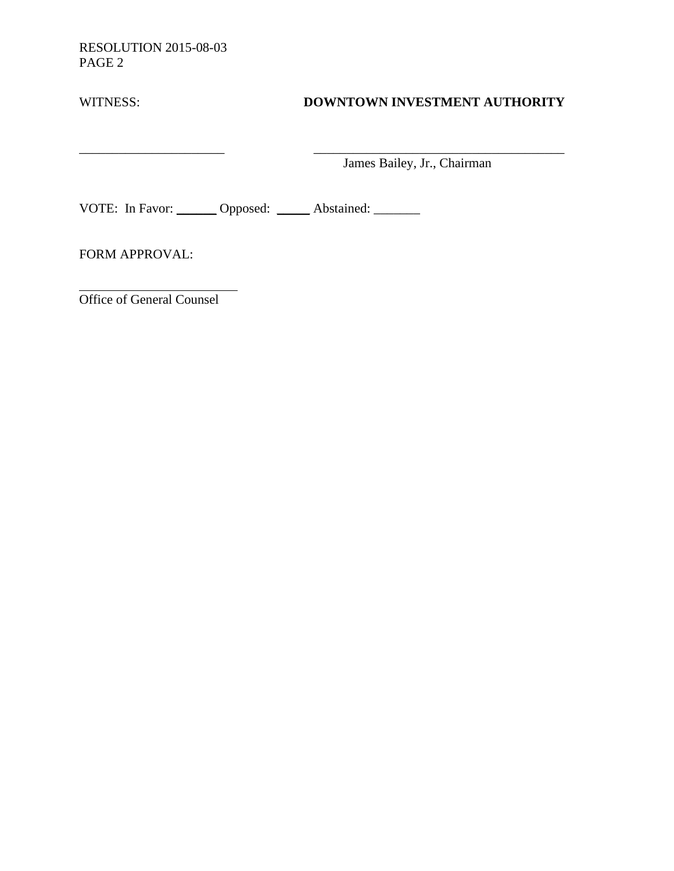RESOLUTION 2015-08-03 PAGE 2

| WITNESS: | DOWNTOWN INVESTMENT AUTHORITY |  |
|----------|-------------------------------|--|
|          |                               |  |

James Bailey, Jr., Chairman

VOTE: In Favor: \_\_\_\_\_\_ Opposed: \_\_\_\_\_ Abstained: \_\_\_\_\_\_

\_\_\_\_\_\_\_\_\_\_\_\_\_\_\_\_\_\_\_\_\_\_ \_\_\_\_\_\_\_\_\_\_\_\_\_\_\_\_\_\_\_\_\_\_\_\_\_\_\_\_\_\_\_\_\_\_\_\_\_\_

FORM APPROVAL:

Office of General Counsel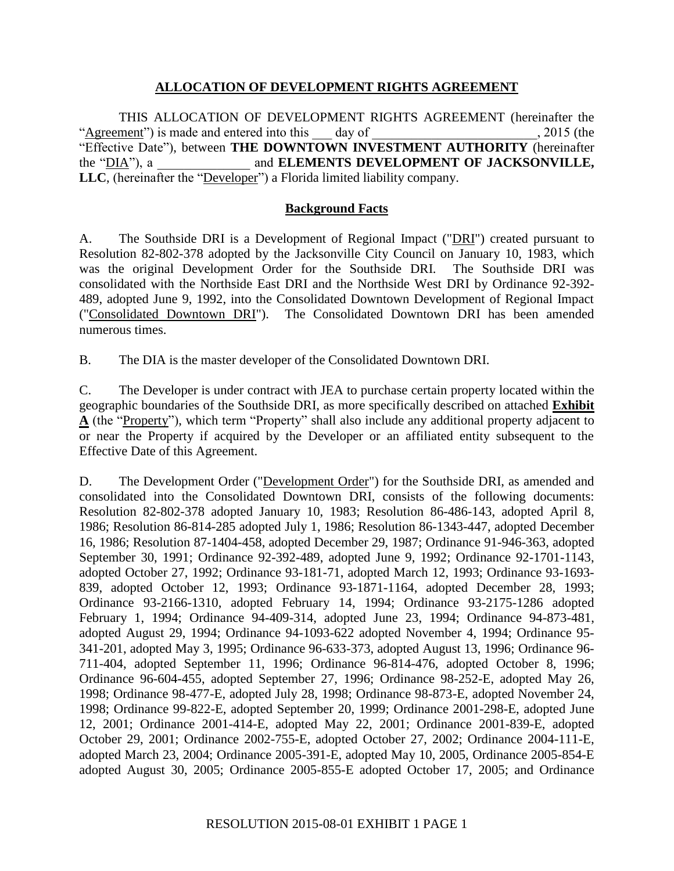#### **ALLOCATION OF DEVELOPMENT RIGHTS AGREEMENT**

THIS ALLOCATION OF DEVELOPMENT RIGHTS AGREEMENT (hereinafter the "Agreement") is made and entered into this day of  $\qquad \qquad$ , 2015 (the "Effective Date"), between **THE DOWNTOWN INVESTMENT AUTHORITY** (hereinafter the "DIA"), a and **ELEMENTS DEVELOPMENT OF JACKSONVILLE**, and ELEMENTS DEVELOPMENT OF JACKSONVILLE, LLC, (hereinafter the "Developer") a Florida limited liability company.

#### **Background Facts**

A. The Southside DRI is a Development of Regional Impact ("DRI") created pursuant to Resolution 82-802-378 adopted by the Jacksonville City Council on January 10, 1983, which was the original Development Order for the Southside DRI. The Southside DRI was consolidated with the Northside East DRI and the Northside West DRI by Ordinance 92-392- 489, adopted June 9, 1992, into the Consolidated Downtown Development of Regional Impact ("Consolidated Downtown DRI"). The Consolidated Downtown DRI has been amended numerous times.

B. The DIA is the master developer of the Consolidated Downtown DRI.

C. The Developer is under contract with JEA to purchase certain property located within the geographic boundaries of the Southside DRI, as more specifically described on attached **Exhibit A** (the "Property"), which term "Property" shall also include any additional property adjacent to or near the Property if acquired by the Developer or an affiliated entity subsequent to the Effective Date of this Agreement.

D. The Development Order ("Development Order") for the Southside DRI, as amended and consolidated into the Consolidated Downtown DRI, consists of the following documents: Resolution 82-802-378 adopted January 10, 1983; Resolution 86-486-143, adopted April 8, 1986; Resolution 86-814-285 adopted July 1, 1986; Resolution 86-1343-447, adopted December 16, 1986; Resolution 87-1404-458, adopted December 29, 1987; Ordinance 91-946-363, adopted September 30, 1991; Ordinance 92-392-489, adopted June 9, 1992; Ordinance 92-1701-1143, adopted October 27, 1992; Ordinance 93-181-71, adopted March 12, 1993; Ordinance 93-1693- 839, adopted October 12, 1993; Ordinance 93-1871-1164, adopted December 28, 1993; Ordinance 93-2166-1310, adopted February 14, 1994; Ordinance 93-2175-1286 adopted February 1, 1994; Ordinance 94-409-314, adopted June 23, 1994; Ordinance 94-873-481, adopted August 29, 1994; Ordinance 94-1093-622 adopted November 4, 1994; Ordinance 95- 341-201, adopted May 3, 1995; Ordinance 96-633-373, adopted August 13, 1996; Ordinance 96- 711-404, adopted September 11, 1996; Ordinance 96-814-476, adopted October 8, 1996; Ordinance 96-604-455, adopted September 27, 1996; Ordinance 98-252-E, adopted May 26, 1998; Ordinance 98-477-E, adopted July 28, 1998; Ordinance 98-873-E, adopted November 24, 1998; Ordinance 99-822-E, adopted September 20, 1999; Ordinance 2001-298-E, adopted June 12, 2001; Ordinance 2001-414-E, adopted May 22, 2001; Ordinance 2001-839-E, adopted October 29, 2001; Ordinance 2002-755-E, adopted October 27, 2002; Ordinance 2004-111-E, adopted March 23, 2004; Ordinance 2005-391-E, adopted May 10, 2005, Ordinance 2005-854-E adopted August 30, 2005; Ordinance 2005-855-E adopted October 17, 2005; and Ordinance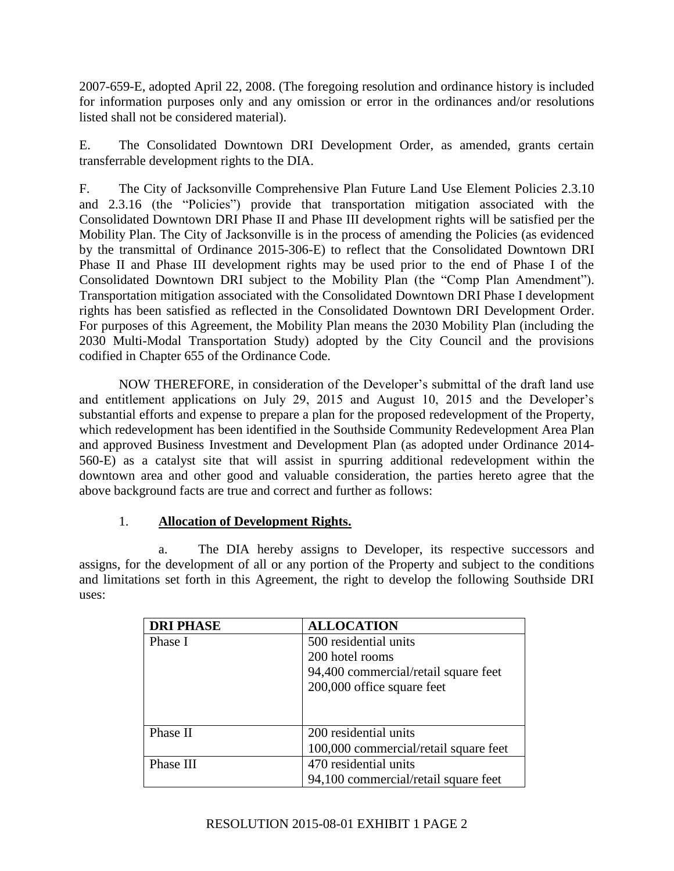2007-659-E, adopted April 22, 2008. (The foregoing resolution and ordinance history is included for information purposes only and any omission or error in the ordinances and/or resolutions listed shall not be considered material).

E. The Consolidated Downtown DRI Development Order, as amended, grants certain transferrable development rights to the DIA.

F. The City of Jacksonville Comprehensive Plan Future Land Use Element Policies 2.3.10 and 2.3.16 (the "Policies") provide that transportation mitigation associated with the Consolidated Downtown DRI Phase II and Phase III development rights will be satisfied per the Mobility Plan. The City of Jacksonville is in the process of amending the Policies (as evidenced by the transmittal of Ordinance 2015-306-E) to reflect that the Consolidated Downtown DRI Phase II and Phase III development rights may be used prior to the end of Phase I of the Consolidated Downtown DRI subject to the Mobility Plan (the "Comp Plan Amendment"). Transportation mitigation associated with the Consolidated Downtown DRI Phase I development rights has been satisfied as reflected in the Consolidated Downtown DRI Development Order. For purposes of this Agreement, the Mobility Plan means the 2030 Mobility Plan (including the 2030 Multi-Modal Transportation Study) adopted by the City Council and the provisions codified in Chapter 655 of the Ordinance Code.

NOW THEREFORE, in consideration of the Developer's submittal of the draft land use and entitlement applications on July 29, 2015 and August 10, 2015 and the Developer's substantial efforts and expense to prepare a plan for the proposed redevelopment of the Property, which redevelopment has been identified in the Southside Community Redevelopment Area Plan and approved Business Investment and Development Plan (as adopted under Ordinance 2014- 560-E) as a catalyst site that will assist in spurring additional redevelopment within the downtown area and other good and valuable consideration, the parties hereto agree that the above background facts are true and correct and further as follows:

## 1. **Allocation of Development Rights.**

a. The DIA hereby assigns to Developer, its respective successors and assigns, for the development of all or any portion of the Property and subject to the conditions and limitations set forth in this Agreement, the right to develop the following Southside DRI uses:

| <b>DRI PHASE</b> | <b>ALLOCATION</b>                     |
|------------------|---------------------------------------|
| Phase I          | 500 residential units                 |
|                  | 200 hotel rooms                       |
|                  | 94,400 commercial/retail square feet  |
|                  | 200,000 office square feet            |
|                  |                                       |
|                  |                                       |
| Phase II         | 200 residential units                 |
|                  | 100,000 commercial/retail square feet |
| Phase III        | 470 residential units                 |
|                  | 94,100 commercial/retail square feet  |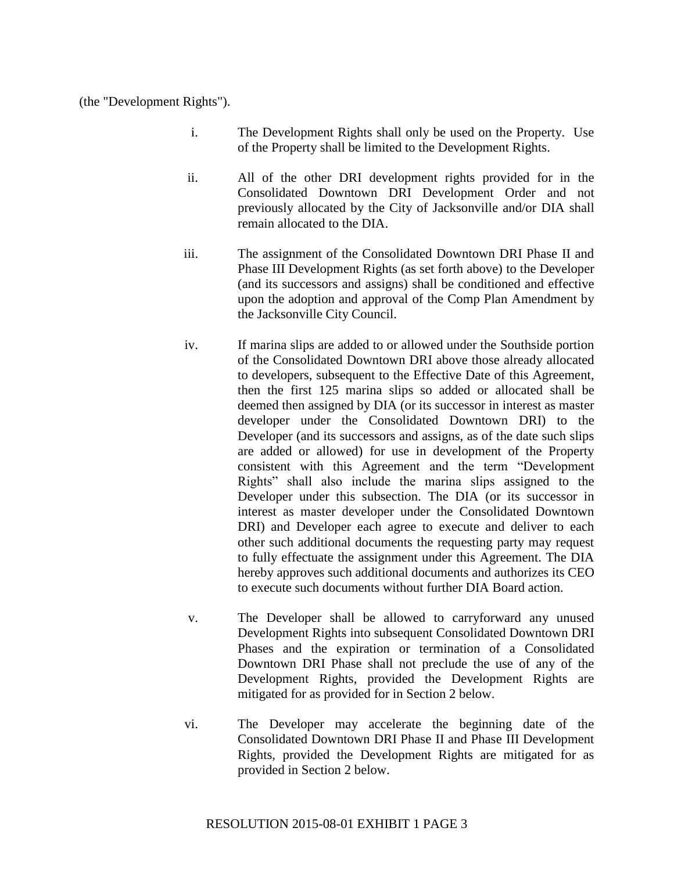(the "Development Rights").

- i. The Development Rights shall only be used on the Property. Use of the Property shall be limited to the Development Rights.
- ii. All of the other DRI development rights provided for in the Consolidated Downtown DRI Development Order and not previously allocated by the City of Jacksonville and/or DIA shall remain allocated to the DIA.
- iii. The assignment of the Consolidated Downtown DRI Phase II and Phase III Development Rights (as set forth above) to the Developer (and its successors and assigns) shall be conditioned and effective upon the adoption and approval of the Comp Plan Amendment by the Jacksonville City Council.
- iv. If marina slips are added to or allowed under the Southside portion of the Consolidated Downtown DRI above those already allocated to developers, subsequent to the Effective Date of this Agreement, then the first 125 marina slips so added or allocated shall be deemed then assigned by DIA (or its successor in interest as master developer under the Consolidated Downtown DRI) to the Developer (and its successors and assigns, as of the date such slips are added or allowed) for use in development of the Property consistent with this Agreement and the term "Development Rights" shall also include the marina slips assigned to the Developer under this subsection. The DIA (or its successor in interest as master developer under the Consolidated Downtown DRI) and Developer each agree to execute and deliver to each other such additional documents the requesting party may request to fully effectuate the assignment under this Agreement. The DIA hereby approves such additional documents and authorizes its CEO to execute such documents without further DIA Board action.
- v. The Developer shall be allowed to carryforward any unused Development Rights into subsequent Consolidated Downtown DRI Phases and the expiration or termination of a Consolidated Downtown DRI Phase shall not preclude the use of any of the Development Rights, provided the Development Rights are mitigated for as provided for in Section 2 below.
- vi. The Developer may accelerate the beginning date of the Consolidated Downtown DRI Phase II and Phase III Development Rights, provided the Development Rights are mitigated for as provided in Section 2 below.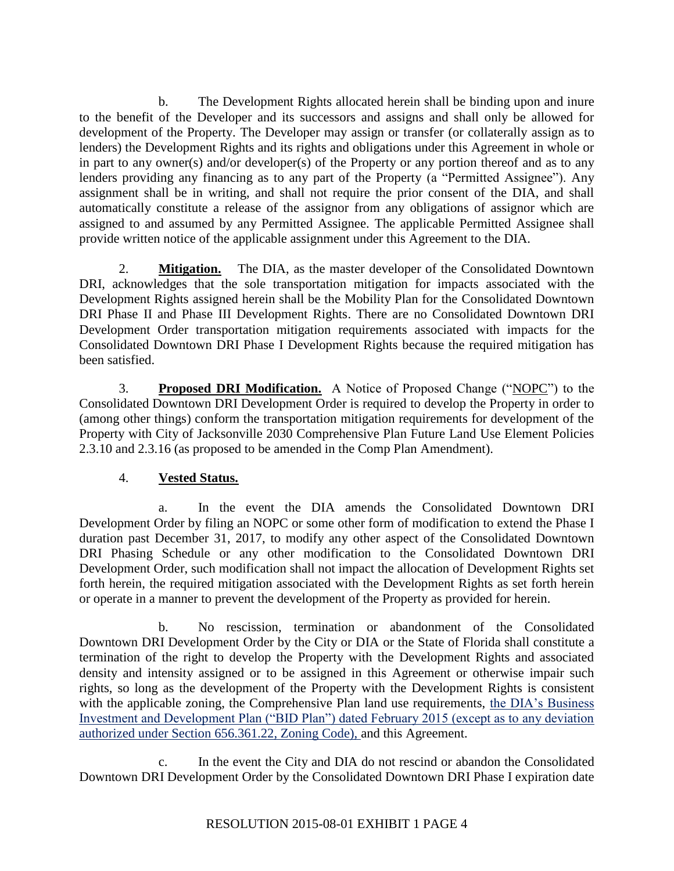b. The Development Rights allocated herein shall be binding upon and inure to the benefit of the Developer and its successors and assigns and shall only be allowed for development of the Property. The Developer may assign or transfer (or collaterally assign as to lenders) the Development Rights and its rights and obligations under this Agreement in whole or in part to any owner(s) and/or developer(s) of the Property or any portion thereof and as to any lenders providing any financing as to any part of the Property (a "Permitted Assignee"). Any assignment shall be in writing, and shall not require the prior consent of the DIA, and shall automatically constitute a release of the assignor from any obligations of assignor which are assigned to and assumed by any Permitted Assignee. The applicable Permitted Assignee shall provide written notice of the applicable assignment under this Agreement to the DIA.

2. **Mitigation.** The DIA, as the master developer of the Consolidated Downtown DRI, acknowledges that the sole transportation mitigation for impacts associated with the Development Rights assigned herein shall be the Mobility Plan for the Consolidated Downtown DRI Phase II and Phase III Development Rights. There are no Consolidated Downtown DRI Development Order transportation mitigation requirements associated with impacts for the Consolidated Downtown DRI Phase I Development Rights because the required mitigation has been satisfied.

3. **Proposed DRI Modification.** A Notice of Proposed Change ("NOPC") to the Consolidated Downtown DRI Development Order is required to develop the Property in order to (among other things) conform the transportation mitigation requirements for development of the Property with City of Jacksonville 2030 Comprehensive Plan Future Land Use Element Policies 2.3.10 and 2.3.16 (as proposed to be amended in the Comp Plan Amendment).

## 4. **Vested Status.**

In the event the DIA amends the Consolidated Downtown DRI Development Order by filing an NOPC or some other form of modification to extend the Phase I duration past December 31, 2017, to modify any other aspect of the Consolidated Downtown DRI Phasing Schedule or any other modification to the Consolidated Downtown DRI Development Order, such modification shall not impact the allocation of Development Rights set forth herein, the required mitigation associated with the Development Rights as set forth herein or operate in a manner to prevent the development of the Property as provided for herein.

b. No rescission, termination or abandonment of the Consolidated Downtown DRI Development Order by the City or DIA or the State of Florida shall constitute a termination of the right to develop the Property with the Development Rights and associated density and intensity assigned or to be assigned in this Agreement or otherwise impair such rights, so long as the development of the Property with the Development Rights is consistent with the applicable zoning, the Comprehensive Plan land use requirements, the DIA's Business Investment and Development Plan ("BID Plan") dated February 2015 (except as to any deviation authorized under Section 656.361.22, Zoning Code), and this Agreement.

c. In the event the City and DIA do not rescind or abandon the Consolidated Downtown DRI Development Order by the Consolidated Downtown DRI Phase I expiration date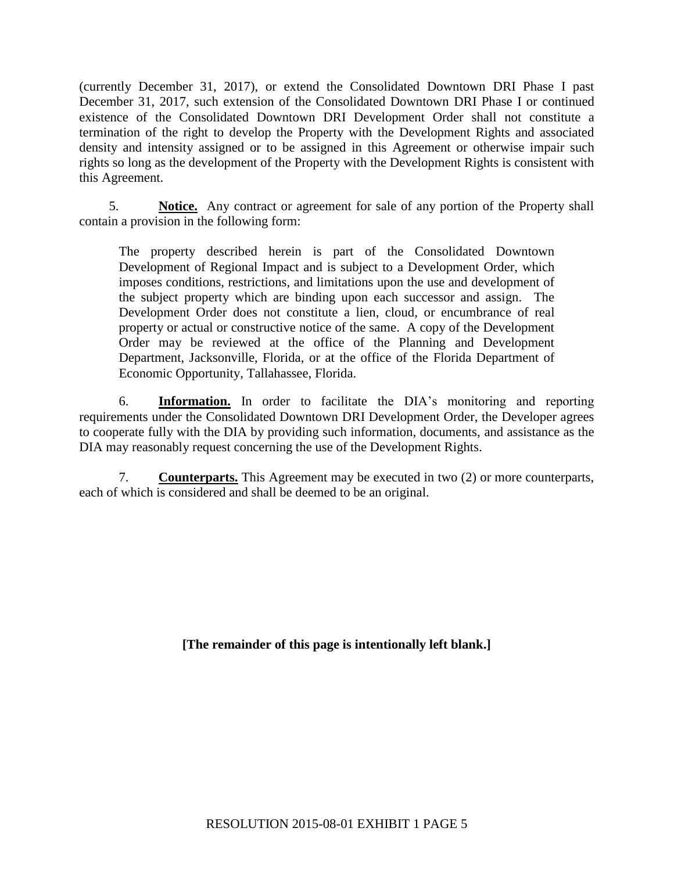(currently December 31, 2017), or extend the Consolidated Downtown DRI Phase I past December 31, 2017, such extension of the Consolidated Downtown DRI Phase I or continued existence of the Consolidated Downtown DRI Development Order shall not constitute a termination of the right to develop the Property with the Development Rights and associated density and intensity assigned or to be assigned in this Agreement or otherwise impair such rights so long as the development of the Property with the Development Rights is consistent with this Agreement.

5. **Notice.** Any contract or agreement for sale of any portion of the Property shall contain a provision in the following form:

The property described herein is part of the Consolidated Downtown Development of Regional Impact and is subject to a Development Order, which imposes conditions, restrictions, and limitations upon the use and development of the subject property which are binding upon each successor and assign. The Development Order does not constitute a lien, cloud, or encumbrance of real property or actual or constructive notice of the same. A copy of the Development Order may be reviewed at the office of the Planning and Development Department, Jacksonville, Florida, or at the office of the Florida Department of Economic Opportunity, Tallahassee, Florida.

6. **Information.** In order to facilitate the DIA's monitoring and reporting requirements under the Consolidated Downtown DRI Development Order, the Developer agrees to cooperate fully with the DIA by providing such information, documents, and assistance as the DIA may reasonably request concerning the use of the Development Rights.

7. **Counterparts.** This Agreement may be executed in two (2) or more counterparts, each of which is considered and shall be deemed to be an original.

**[The remainder of this page is intentionally left blank.]**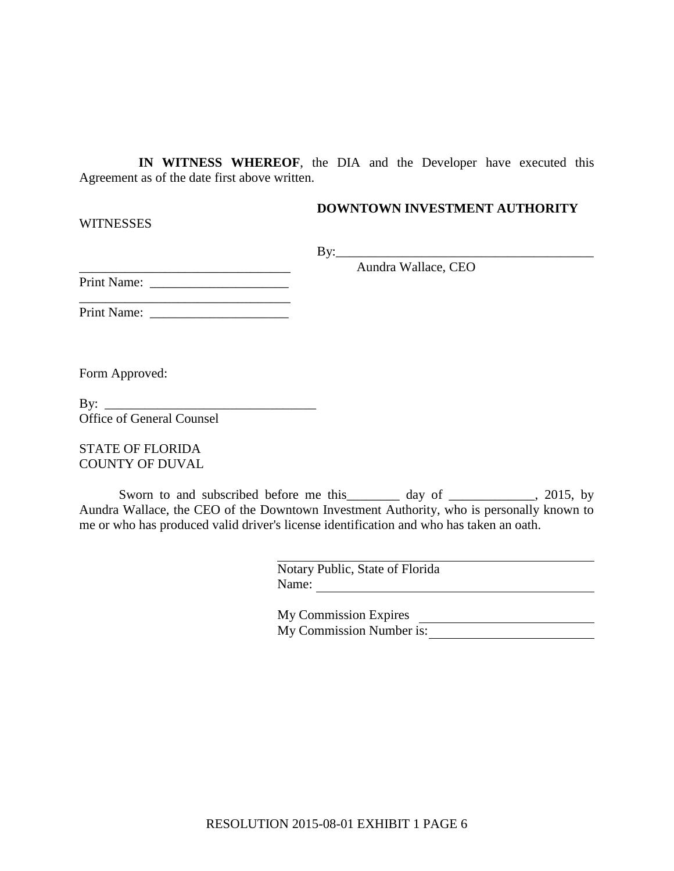**IN WITNESS WHEREOF**, the DIA and the Developer have executed this Agreement as of the date first above written.

**DOWNTOWN INVESTMENT AUTHORITY** 

 $By:$ 

\_\_\_\_\_\_\_\_\_\_\_\_\_\_\_\_\_\_\_\_\_\_\_\_\_\_\_\_\_\_\_\_ Aundra Wallace, CEO

Print Name: \_\_\_\_\_\_\_\_\_\_\_\_\_\_\_\_\_\_\_\_\_

\_\_\_\_\_\_\_\_\_\_\_\_\_\_\_\_\_\_\_\_\_\_\_\_\_\_\_\_\_\_\_\_ Print Name:

Form Approved:

**WITNESSES** 

| By:                              |  |
|----------------------------------|--|
| <b>Office of General Counsel</b> |  |

STATE OF FLORIDA COUNTY OF DUVAL

Sworn to and subscribed before me this \_\_\_\_\_\_ day of \_\_\_\_\_\_\_\_\_\_, 2015, by Aundra Wallace, the CEO of the Downtown Investment Authority, who is personally known to me or who has produced valid driver's license identification and who has taken an oath.

> Notary Public, State of Florida Name:

| <b>My Commission Expires</b> |  |
|------------------------------|--|
| My Commission Number is:     |  |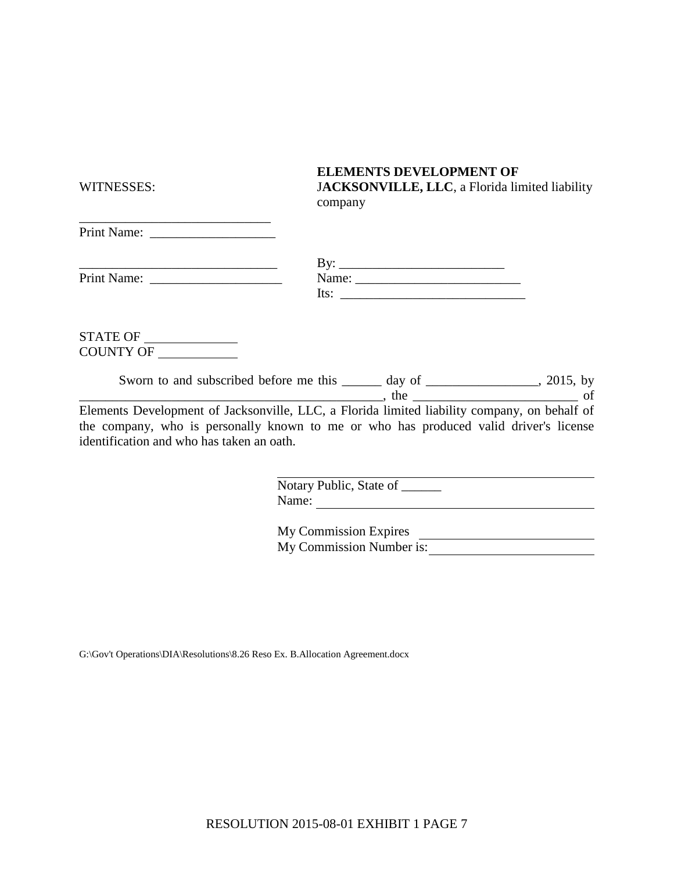| WITNESSES:                                                  | JACKSONVILLE, LLC, a Florida limited liability<br>company                                                                                                                                                                                                                                                                                                                                                                                          |
|-------------------------------------------------------------|----------------------------------------------------------------------------------------------------------------------------------------------------------------------------------------------------------------------------------------------------------------------------------------------------------------------------------------------------------------------------------------------------------------------------------------------------|
|                                                             |                                                                                                                                                                                                                                                                                                                                                                                                                                                    |
| <u> 1989 - Andrea Brand, amerikansk politiker (d. 1989)</u> |                                                                                                                                                                                                                                                                                                                                                                                                                                                    |
|                                                             |                                                                                                                                                                                                                                                                                                                                                                                                                                                    |
|                                                             | Its: $\frac{1}{\sqrt{1-\frac{1}{2}} \cdot \frac{1}{2} \cdot \frac{1}{2} \cdot \frac{1}{2} \cdot \frac{1}{2} \cdot \frac{1}{2} \cdot \frac{1}{2} \cdot \frac{1}{2} \cdot \frac{1}{2} \cdot \frac{1}{2} \cdot \frac{1}{2} \cdot \frac{1}{2} \cdot \frac{1}{2} \cdot \frac{1}{2} \cdot \frac{1}{2} \cdot \frac{1}{2} \cdot \frac{1}{2} \cdot \frac{1}{2} \cdot \frac{1}{2} \cdot \frac{1}{2} \cdot \frac{1}{2} \cdot \frac{1}{2} \cdot \frac{1}{2} \$ |
|                                                             |                                                                                                                                                                                                                                                                                                                                                                                                                                                    |
| <b>STATE OF</b>                                             |                                                                                                                                                                                                                                                                                                                                                                                                                                                    |

COUNTY OF

| Sworn to and subscribed before me this | dav<br>$\mathbf{O}$ |  |
|----------------------------------------|---------------------|--|
|                                        |                     |  |

Elements Development of Jacksonville, LLC, a Florida limited liability company, on behalf of the company, who is personally known to me or who has produced valid driver's license identification and who has taken an oath.

| Notary Public, State of |  |
|-------------------------|--|
| Name:                   |  |

**ELEMENTS DEVELOPMENT OF** 

My Commission Expires My Commission Expires<br>My Commission Number is:

G:\Gov't Operations\DIA\Resolutions\8.26 Reso Ex. B.Allocation Agreement.docx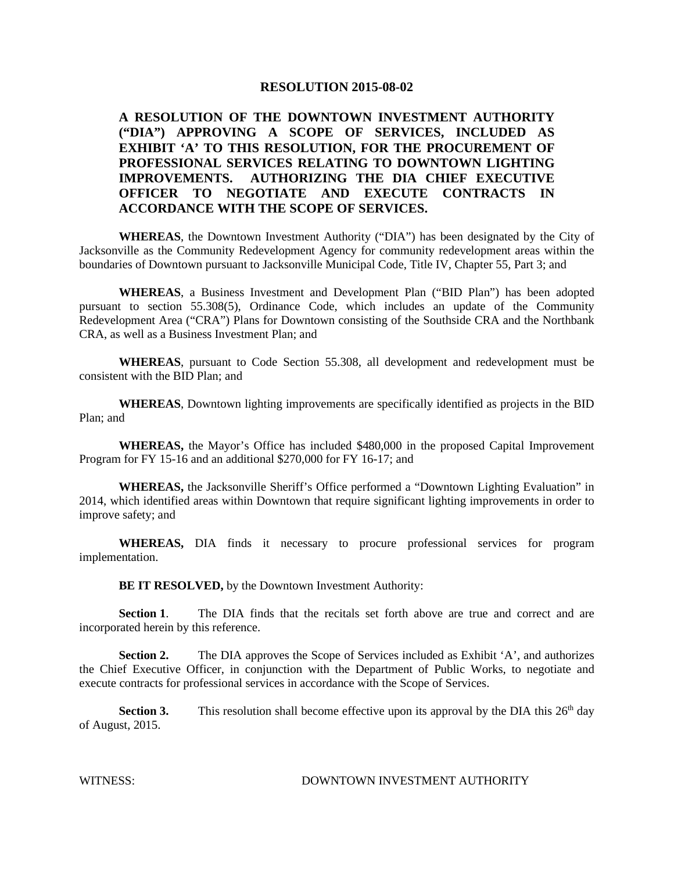#### **A RESOLUTION OF THE DOWNTOWN INVESTMENT AUTHORITY ("DIA") APPROVING A SCOPE OF SERVICES, INCLUDED AS EXHIBIT 'A' TO THIS RESOLUTION, FOR THE PROCUREMENT OF PROFESSIONAL SERVICES RELATING TO DOWNTOWN LIGHTING IMPROVEMENTS. AUTHORIZING THE DIA CHIEF EXECUTIVE OFFICER TO NEGOTIATE AND EXECUTE CONTRACTS IN ACCORDANCE WITH THE SCOPE OF SERVICES.**

**WHEREAS**, the Downtown Investment Authority ("DIA") has been designated by the City of Jacksonville as the Community Redevelopment Agency for community redevelopment areas within the boundaries of Downtown pursuant to Jacksonville Municipal Code, Title IV, Chapter 55, Part 3; and

**WHEREAS**, a Business Investment and Development Plan ("BID Plan") has been adopted pursuant to section 55.308(5), Ordinance Code, which includes an update of the Community Redevelopment Area ("CRA") Plans for Downtown consisting of the Southside CRA and the Northbank CRA, as well as a Business Investment Plan; and

**WHEREAS**, pursuant to Code Section 55.308, all development and redevelopment must be consistent with the BID Plan; and

**WHEREAS**, Downtown lighting improvements are specifically identified as projects in the BID Plan; and

**WHEREAS,** the Mayor's Office has included \$480,000 in the proposed Capital Improvement Program for FY 15-16 and an additional \$270,000 for FY 16-17; and

**WHEREAS,** the Jacksonville Sheriff's Office performed a "Downtown Lighting Evaluation" in 2014, which identified areas within Downtown that require significant lighting improvements in order to improve safety; and

**WHEREAS,** DIA finds it necessary to procure professional services for program implementation.

**BE IT RESOLVED,** by the Downtown Investment Authority:

**Section 1.** The DIA finds that the recitals set forth above are true and correct and are incorporated herein by this reference.

Section 2. The DIA approves the Scope of Services included as Exhibit 'A', and authorizes the Chief Executive Officer, in conjunction with the Department of Public Works, to negotiate and execute contracts for professional services in accordance with the Scope of Services.

**Section 3.** This resolution shall become effective upon its approval by the DIA this  $26<sup>th</sup>$  day of August, 2015.

WITNESS: DOWNTOWN INVESTMENT AUTHORITY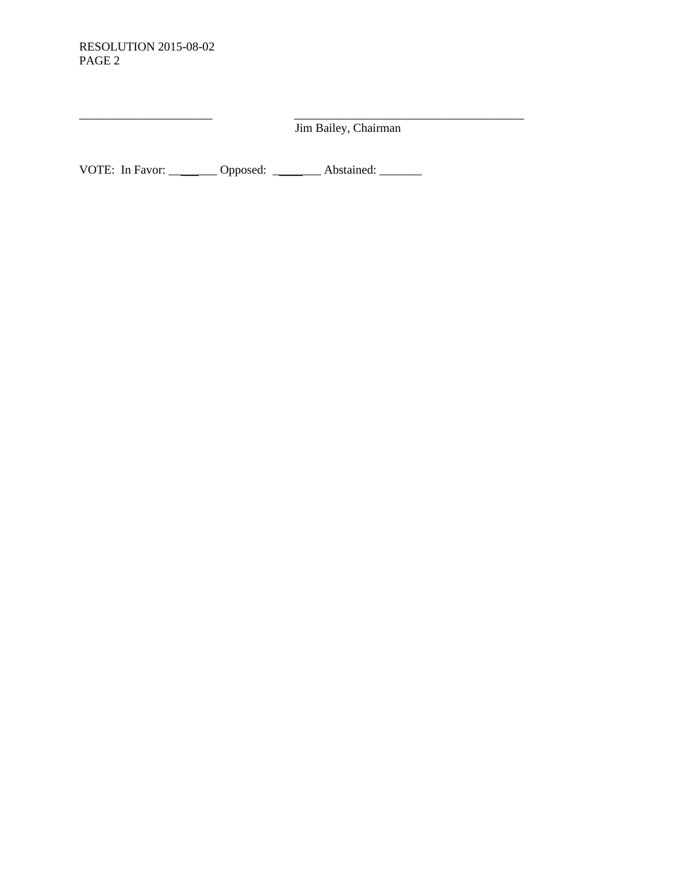Jim Bailey, Chairman

\_\_\_\_\_\_\_\_\_\_\_\_\_\_\_\_\_\_\_\_\_\_ \_\_\_\_\_\_\_\_\_\_\_\_\_\_\_\_\_\_\_\_\_\_\_\_\_\_\_\_\_\_\_\_\_\_\_\_\_\_

VOTE: In Favor: \_\_\_\_\_\_\_\_ Opposed: \_\_\_\_\_\_\_\_ Abstained: \_\_\_\_\_\_\_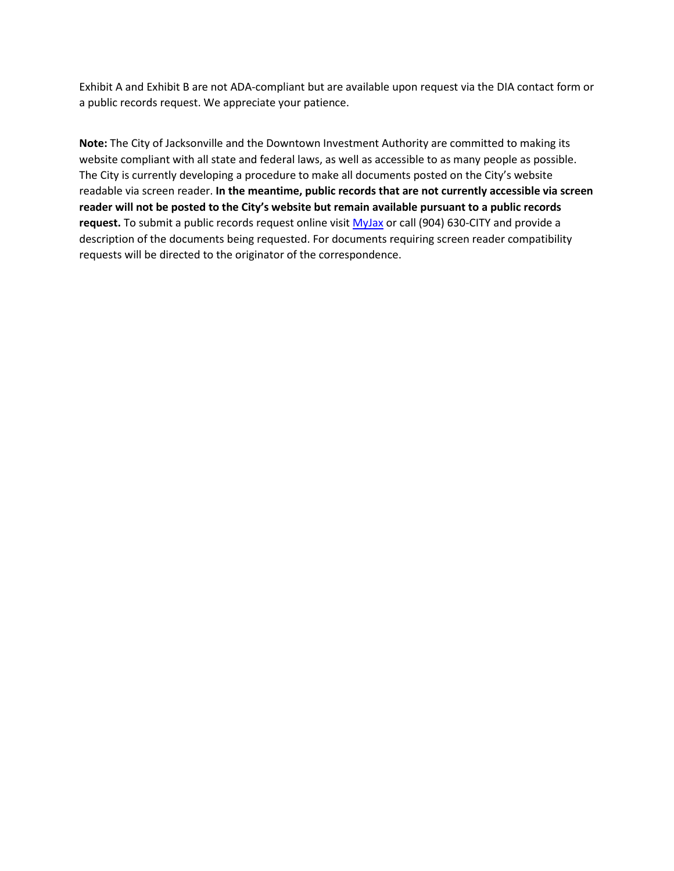Exhibit A and Exhibit B are not ADA-compliant but are available upon request via the DIA contact form or a public records request. We appreciate your patience.

**Note:** The City of Jacksonville and the Downtown Investment Authority are committed to making its website compliant with all state and federal laws, as well as accessible to as many people as possible. The City is currently developing a procedure to make all documents posted on the City's website readable via screen reader. **In the meantime, public records that are not currently accessible via screen reader will not be posted to the City's website but remain available pursuant to a public records request.** To submit a public records request online visit [MyJax](https://myjax.custhelp.com/app/answers/detail/a_id/1169) or call (904) 630-CITY and provide a description of the documents being requested. For documents requiring screen reader compatibility requests will be directed to the originator of the correspondence.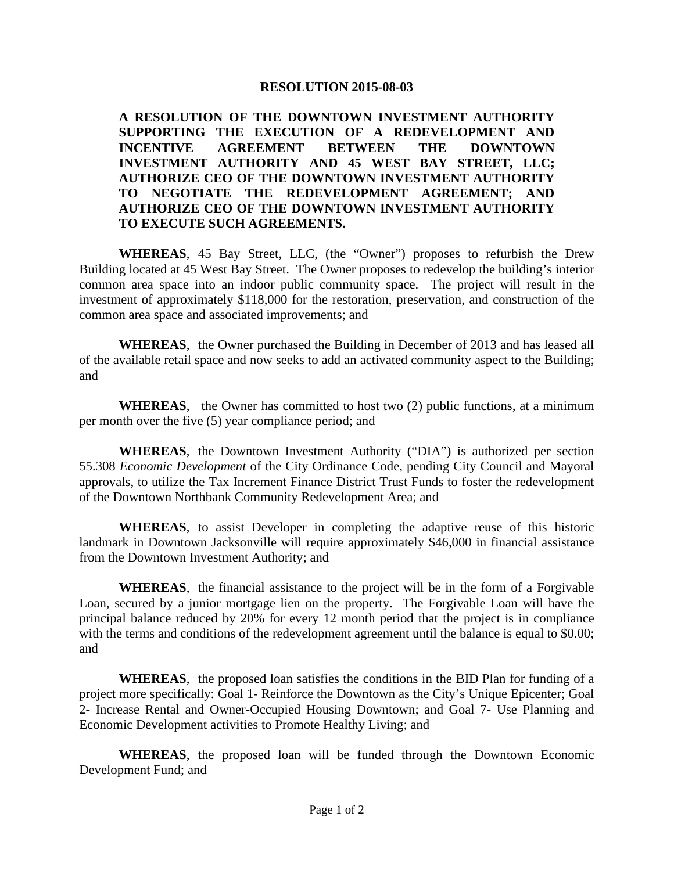**A RESOLUTION OF THE DOWNTOWN INVESTMENT AUTHORITY SUPPORTING THE EXECUTION OF A REDEVELOPMENT AND INCENTIVE AGREEMENT BETWEEN THE DOWNTOWN INVESTMENT AUTHORITY AND 45 WEST BAY STREET, LLC; AUTHORIZE CEO OF THE DOWNTOWN INVESTMENT AUTHORITY TO NEGOTIATE THE REDEVELOPMENT AGREEMENT; AND AUTHORIZE CEO OF THE DOWNTOWN INVESTMENT AUTHORITY TO EXECUTE SUCH AGREEMENTS.** 

**WHEREAS**, 45 Bay Street, LLC, (the "Owner") proposes to refurbish the Drew Building located at 45 West Bay Street. The Owner proposes to redevelop the building's interior common area space into an indoor public community space. The project will result in the investment of approximately \$118,000 for the restoration, preservation, and construction of the common area space and associated improvements; and

**WHEREAS**, the Owner purchased the Building in December of 2013 and has leased all of the available retail space and now seeks to add an activated community aspect to the Building; and

**WHEREAS**, the Owner has committed to host two (2) public functions, at a minimum per month over the five (5) year compliance period; and

**WHEREAS**, the Downtown Investment Authority ("DIA") is authorized per section 55.308 *Economic Development* of the City Ordinance Code, pending City Council and Mayoral approvals, to utilize the Tax Increment Finance District Trust Funds to foster the redevelopment of the Downtown Northbank Community Redevelopment Area; and

**WHEREAS**, to assist Developer in completing the adaptive reuse of this historic landmark in Downtown Jacksonville will require approximately \$46,000 in financial assistance from the Downtown Investment Authority; and

**WHEREAS**, the financial assistance to the project will be in the form of a Forgivable Loan, secured by a junior mortgage lien on the property. The Forgivable Loan will have the principal balance reduced by 20% for every 12 month period that the project is in compliance with the terms and conditions of the redevelopment agreement until the balance is equal to \$0.00; and

**WHEREAS**, the proposed loan satisfies the conditions in the BID Plan for funding of a project more specifically: Goal 1- Reinforce the Downtown as the City's Unique Epicenter; Goal 2- Increase Rental and Owner-Occupied Housing Downtown; and Goal 7- Use Planning and Economic Development activities to Promote Healthy Living; and

**WHEREAS**, the proposed loan will be funded through the Downtown Economic Development Fund; and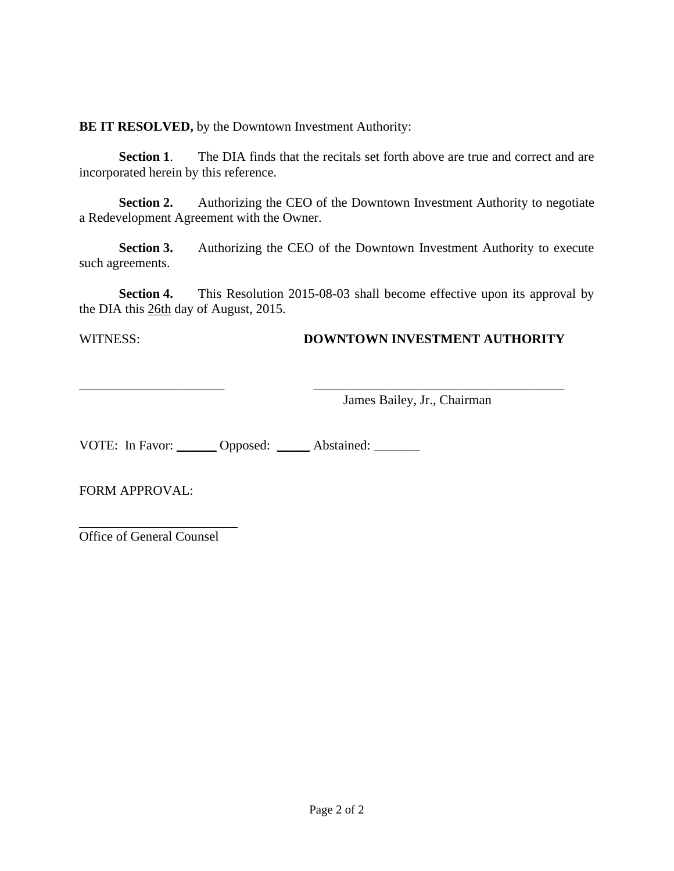**BE IT RESOLVED,** by the Downtown Investment Authority:

**Section 1.** The DIA finds that the recitals set forth above are true and correct and are incorporated herein by this reference.

**Section 2.** Authorizing the CEO of the Downtown Investment Authority to negotiate a Redevelopment Agreement with the Owner.

**Section 3.** Authorizing the CEO of the Downtown Investment Authority to execute such agreements.

**Section 4.** This Resolution 2015-08-03 shall become effective upon its approval by the DIA this 26th day of August, 2015.

## WITNESS: **DOWNTOWN INVESTMENT AUTHORITY**

\_\_\_\_\_\_\_\_\_\_\_\_\_\_\_\_\_\_\_\_\_\_ \_\_\_\_\_\_\_\_\_\_\_\_\_\_\_\_\_\_\_\_\_\_\_\_\_\_\_\_\_\_\_\_\_\_\_\_\_\_ James Bailey, Jr., Chairman

VOTE: In Favor: \_\_\_\_\_\_ Opposed: \_\_\_\_\_ Abstained: \_\_\_\_\_\_

FORM APPROVAL:

Office of General Counsel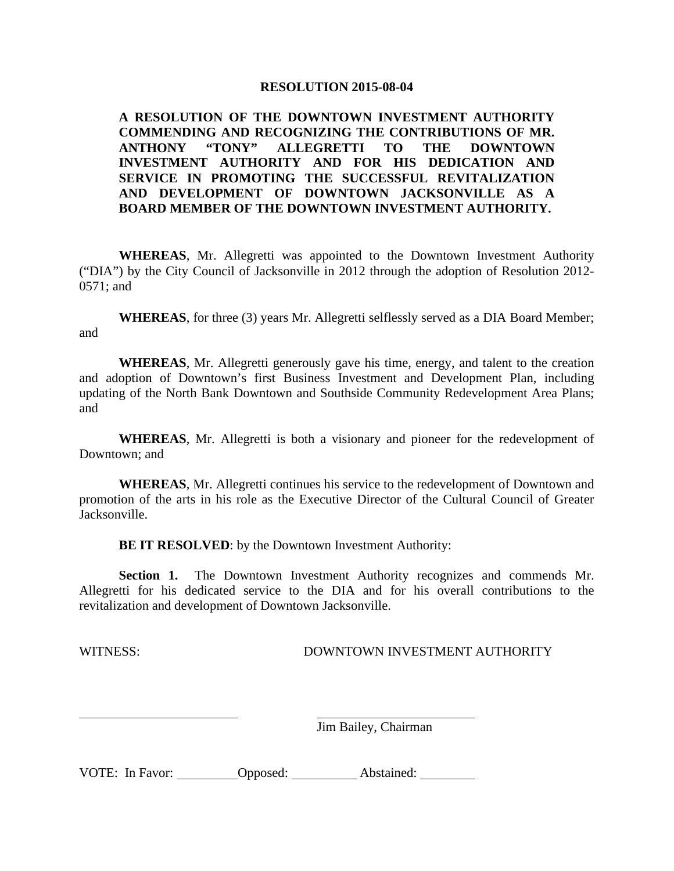#### **A RESOLUTION OF THE DOWNTOWN INVESTMENT AUTHORITY COMMENDING AND RECOGNIZING THE CONTRIBUTIONS OF MR. ANTHONY "TONY" ALLEGRETTI TO THE DOWNTOWN INVESTMENT AUTHORITY AND FOR HIS DEDICATION AND SERVICE IN PROMOTING THE SUCCESSFUL REVITALIZATION AND DEVELOPMENT OF DOWNTOWN JACKSONVILLE AS A BOARD MEMBER OF THE DOWNTOWN INVESTMENT AUTHORITY.**

**WHEREAS**, Mr. Allegretti was appointed to the Downtown Investment Authority ("DIA") by the City Council of Jacksonville in 2012 through the adoption of Resolution 2012- 0571; and

**WHEREAS**, for three (3) years Mr. Allegretti selflessly served as a DIA Board Member; and

**WHEREAS**, Mr. Allegretti generously gave his time, energy, and talent to the creation and adoption of Downtown's first Business Investment and Development Plan, including updating of the North Bank Downtown and Southside Community Redevelopment Area Plans; and

**WHEREAS**, Mr. Allegretti is both a visionary and pioneer for the redevelopment of Downtown; and

**WHEREAS**, Mr. Allegretti continues his service to the redevelopment of Downtown and promotion of the arts in his role as the Executive Director of the Cultural Council of Greater Jacksonville.

**BE IT RESOLVED:** by the Downtown Investment Authority:

**Section 1.** The Downtown Investment Authority recognizes and commends Mr. Allegretti for his dedicated service to the DIA and for his overall contributions to the revitalization and development of Downtown Jacksonville.

WITNESS: DOWNTOWN INVESTMENT AUTHORITY

Jim Bailey, Chairman

VOTE: In Favor: Opposed: Abstained: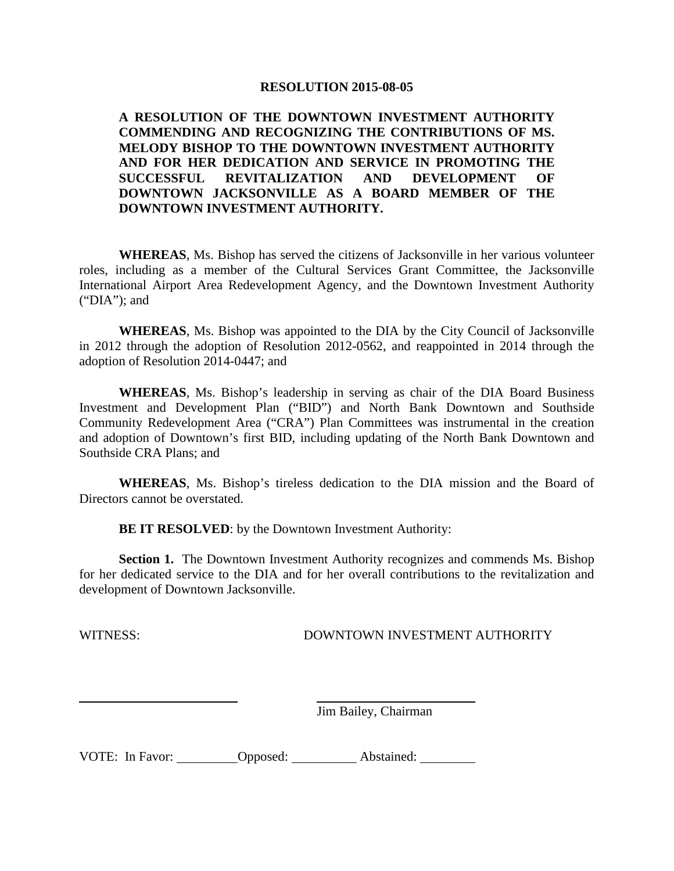**A RESOLUTION OF THE DOWNTOWN INVESTMENT AUTHORITY COMMENDING AND RECOGNIZING THE CONTRIBUTIONS OF MS. MELODY BISHOP TO THE DOWNTOWN INVESTMENT AUTHORITY AND FOR HER DEDICATION AND SERVICE IN PROMOTING THE SUCCESSFUL REVITALIZATION AND DEVELOPMENT OF DOWNTOWN JACKSONVILLE AS A BOARD MEMBER OF THE DOWNTOWN INVESTMENT AUTHORITY.**

**WHEREAS**, Ms. Bishop has served the citizens of Jacksonville in her various volunteer roles, including as a member of the Cultural Services Grant Committee, the Jacksonville International Airport Area Redevelopment Agency, and the Downtown Investment Authority ("DIA"); and

**WHEREAS**, Ms. Bishop was appointed to the DIA by the City Council of Jacksonville in 2012 through the adoption of Resolution 2012-0562, and reappointed in 2014 through the adoption of Resolution 2014-0447; and

**WHEREAS**, Ms. Bishop's leadership in serving as chair of the DIA Board Business Investment and Development Plan ("BID") and North Bank Downtown and Southside Community Redevelopment Area ("CRA") Plan Committees was instrumental in the creation and adoption of Downtown's first BID, including updating of the North Bank Downtown and Southside CRA Plans; and

**WHEREAS**, Ms. Bishop's tireless dedication to the DIA mission and the Board of Directors cannot be overstated.

**BE IT RESOLVED:** by the Downtown Investment Authority:

**Section 1.** The Downtown Investment Authority recognizes and commends Ms. Bishop for her dedicated service to the DIA and for her overall contributions to the revitalization and development of Downtown Jacksonville.

#### WITNESS: DOWNTOWN INVESTMENT AUTHORITY

Jim Bailey, Chairman

| VOTE: In Favor: | Opposed: | Abstained: |
|-----------------|----------|------------|
|                 |          |            |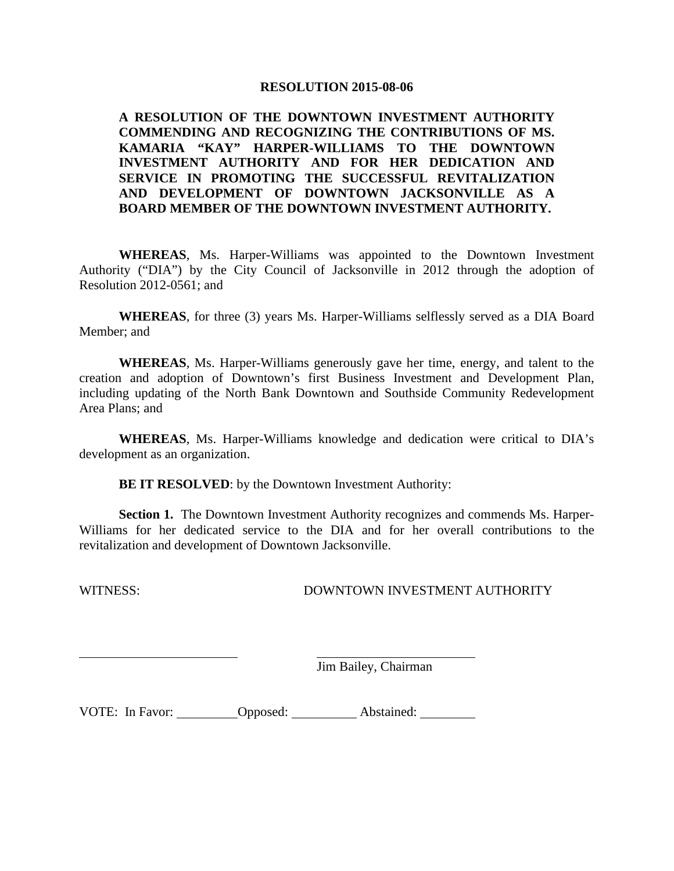#### **A RESOLUTION OF THE DOWNTOWN INVESTMENT AUTHORITY COMMENDING AND RECOGNIZING THE CONTRIBUTIONS OF MS. KAMARIA "KAY" HARPER-WILLIAMS TO THE DOWNTOWN INVESTMENT AUTHORITY AND FOR HER DEDICATION AND SERVICE IN PROMOTING THE SUCCESSFUL REVITALIZATION AND DEVELOPMENT OF DOWNTOWN JACKSONVILLE AS A BOARD MEMBER OF THE DOWNTOWN INVESTMENT AUTHORITY.**

**WHEREAS**, Ms. Harper-Williams was appointed to the Downtown Investment Authority ("DIA") by the City Council of Jacksonville in 2012 through the adoption of Resolution 2012-0561; and

**WHEREAS**, for three (3) years Ms. Harper-Williams selflessly served as a DIA Board Member; and

**WHEREAS**, Ms. Harper-Williams generously gave her time, energy, and talent to the creation and adoption of Downtown's first Business Investment and Development Plan, including updating of the North Bank Downtown and Southside Community Redevelopment Area Plans; and

**WHEREAS**, Ms. Harper-Williams knowledge and dedication were critical to DIA's development as an organization.

**BE IT RESOLVED:** by the Downtown Investment Authority:

**Section 1.** The Downtown Investment Authority recognizes and commends Ms. Harper-Williams for her dedicated service to the DIA and for her overall contributions to the revitalization and development of Downtown Jacksonville.

WITNESS: DOWNTOWN INVESTMENT AUTHORITY

Jim Bailey, Chairman

VOTE: In Favor: Opposed: Abstained: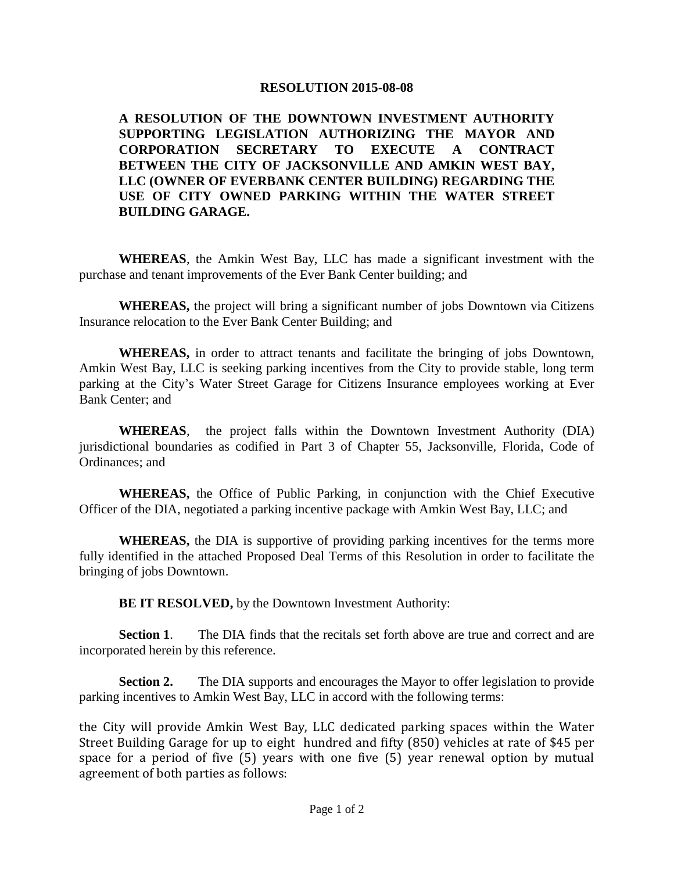**A RESOLUTION OF THE DOWNTOWN INVESTMENT AUTHORITY SUPPORTING LEGISLATION AUTHORIZING THE MAYOR AND CORPORATION SECRETARY TO EXECUTE A CONTRACT BETWEEN THE CITY OF JACKSONVILLE AND AMKIN WEST BAY, LLC (OWNER OF EVERBANK CENTER BUILDING) REGARDING THE USE OF CITY OWNED PARKING WITHIN THE WATER STREET BUILDING GARAGE.**

**WHEREAS**, the Amkin West Bay, LLC has made a significant investment with the purchase and tenant improvements of the Ever Bank Center building; and

**WHEREAS,** the project will bring a significant number of jobs Downtown via Citizens Insurance relocation to the Ever Bank Center Building; and

**WHEREAS,** in order to attract tenants and facilitate the bringing of jobs Downtown, Amkin West Bay, LLC is seeking parking incentives from the City to provide stable, long term parking at the City's Water Street Garage for Citizens Insurance employees working at Ever Bank Center; and

**WHEREAS**, the project falls within the Downtown Investment Authority (DIA) jurisdictional boundaries as codified in Part 3 of Chapter 55, Jacksonville, Florida, Code of Ordinances; and

**WHEREAS,** the Office of Public Parking, in conjunction with the Chief Executive Officer of the DIA, negotiated a parking incentive package with Amkin West Bay, LLC; and

**WHEREAS,** the DIA is supportive of providing parking incentives for the terms more fully identified in the attached Proposed Deal Terms of this Resolution in order to facilitate the bringing of jobs Downtown.

**BE IT RESOLVED,** by the Downtown Investment Authority:

**Section 1.** The DIA finds that the recitals set forth above are true and correct and are incorporated herein by this reference.

**Section 2.** The DIA supports and encourages the Mayor to offer legislation to provide parking incentives to Amkin West Bay, LLC in accord with the following terms:

the City will provide Amkin West Bay, LLC dedicated parking spaces within the Water Street Building Garage for up to eight hundred and fifty (850) vehicles at rate of \$45 per space for a period of five  $(5)$  years with one five  $(5)$  year renewal option by mutual agreement of both parties as follows: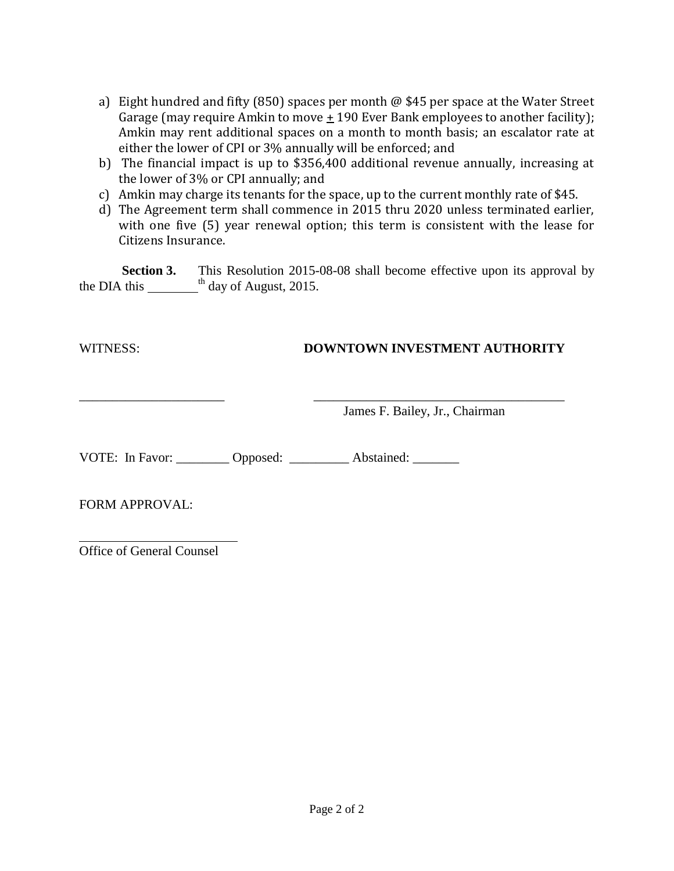- a) Eight hundred and fifty (850) spaces per month @ \$45 per space at the Water Street Garage (may require Amkin to move  $\pm$  190 Ever Bank employees to another facility); Amkin may rent additional spaces on a month to month basis; an escalator rate at either the lower of CPI or 3% annually will be enforced; and
- b) The financial impact is up to \$356,400 additional revenue annually, increasing at the lower of 3% or CPI annually; and
- c) Amkin may charge its tenants for the space, up to the current monthly rate of \$45.
- d) The Agreement term shall commence in 2015 thru 2020 unless terminated earlier, with one five (5) year renewal option; this term is consistent with the lease for Citizens Insurance.

**Section 3.** This Resolution 2015-08-08 shall become effective upon its approval by the DIA this  $\frac{1}{\sqrt{1}}$  day of August, 2015.

\_\_\_\_\_\_\_\_\_\_\_\_\_\_\_\_\_\_\_\_\_\_ \_\_\_\_\_\_\_\_\_\_\_\_\_\_\_\_\_\_\_\_\_\_\_\_\_\_\_\_\_\_\_\_\_\_\_\_\_\_

## WITNESS: **DOWNTOWN INVESTMENT AUTHORITY**

James F. Bailey, Jr., Chairman

VOTE: In Favor: \_\_\_\_\_\_\_\_ Opposed: \_\_\_\_\_\_\_\_ Abstained: \_\_\_\_\_\_\_

FORM APPROVAL:

Office of General Counsel